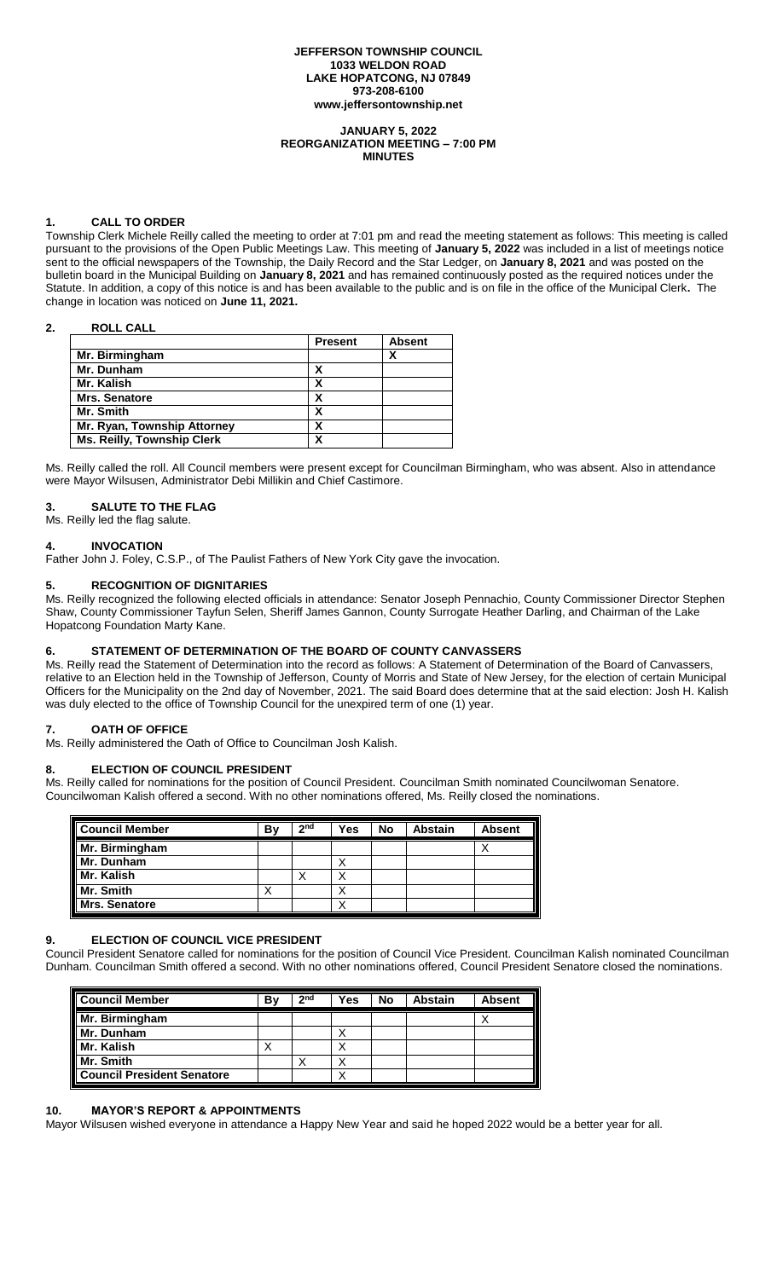#### **JEFFERSON TOWNSHIP COUNCIL 1033 WELDON ROAD LAKE HOPATCONG, NJ 07849 973-208-6100 www.jeffersontownship.net**

#### **JANUARY 5, 2022 REORGANIZATION MEETING – 7:00 PM MINUTES**

# **1. CALL TO ORDER**

Township Clerk Michele Reilly called the meeting to order at 7:01 pm and read the meeting statement as follows: This meeting is called pursuant to the provisions of the Open Public Meetings Law. This meeting of **January 5, 2022** was included in a list of meetings notice sent to the official newspapers of the Township, the Daily Record and the Star Ledger, on **January 8, 2021** and was posted on the bulletin board in the Municipal Building on **January 8, 2021** and has remained continuously posted as the required notices under the Statute. In addition, a copy of this notice is and has been available to the public and is on file in the office of the Municipal Clerk**.** The change in location was noticed on **June 11, 2021.** 

### **2. ROLL CALL**

|                                   | <b>Present</b> | <b>Absent</b> |
|-----------------------------------|----------------|---------------|
| Mr. Birmingham                    |                | χ             |
| Mr. Dunham                        |                |               |
| Mr. Kalish                        | χ              |               |
| <b>Mrs. Senatore</b>              |                |               |
| Mr. Smith                         |                |               |
| Mr. Ryan, Township Attorney       | χ              |               |
| <b>Ms. Reilly, Township Clerk</b> |                |               |

Ms. Reilly called the roll. All Council members were present except for Councilman Birmingham, who was absent. Also in attendance were Mayor Wilsusen, Administrator Debi Millikin and Chief Castimore.

### **3. SALUTE TO THE FLAG**

Ms. Reilly led the flag salute.

### **4. INVOCATION**

Father John J. Foley, C.S.P., of The Paulist Fathers of New York City gave the invocation.

### **5. RECOGNITION OF DIGNITARIES**

Ms. Reilly recognized the following elected officials in attendance: Senator Joseph Pennachio, County Commissioner Director Stephen Shaw, County Commissioner Tayfun Selen, Sheriff James Gannon, County Surrogate Heather Darling, and Chairman of the Lake Hopatcong Foundation Marty Kane.

# **6. STATEMENT OF DETERMINATION OF THE BOARD OF COUNTY CANVASSERS**

Ms. Reilly read the Statement of Determination into the record as follows: A Statement of Determination of the Board of Canvassers, relative to an Election held in the Township of Jefferson, County of Morris and State of New Jersey, for the election of certain Municipal Officers for the Municipality on the 2nd day of November, 2021. The said Board does determine that at the said election: Josh H. Kalish was duly elected to the office of Township Council for the unexpired term of one (1) year.

## **7. OATH OF OFFICE**

Ms. Reilly administered the Oath of Office to Councilman Josh Kalish.

#### **8. ELECTION OF COUNCIL PRESIDENT**

Ms. Reilly called for nominations for the position of Council President. Councilman Smith nominated Councilwoman Senatore. Councilwoman Kalish offered a second. With no other nominations offered, Ms. Reilly closed the nominations.

| <b>Council Member</b><br><b>Mr. Birmingham</b><br><b>Mr. Kalish<br/> Mr. Kalish<br/> Mr. Smith</b><br>Mrs. Senatore | B٧ | 2 <sub>nd</sub> | Yes | <b>No</b> | Abstain | <b>Absent</b> |
|---------------------------------------------------------------------------------------------------------------------|----|-----------------|-----|-----------|---------|---------------|
|                                                                                                                     |    |                 |     |           |         |               |
|                                                                                                                     |    |                 | ↗   |           |         |               |
|                                                                                                                     |    |                 |     |           |         |               |
|                                                                                                                     |    |                 |     |           |         |               |
|                                                                                                                     |    |                 |     |           |         |               |

# **9. ELECTION OF COUNCIL VICE PRESIDENT**

Council President Senatore called for nominations for the position of Council Vice President. Councilman Kalish nominated Councilman Dunham. Councilman Smith offered a second. With no other nominations offered, Council President Senatore closed the nominations.

| Council Member<br>Mr. Birmingham<br>Mr. Dunham<br>Mr. Kalish<br>Mr. Smith<br>Council President Senatore | B٧ | 2 <sub>nd</sub> | Yes | <b>No</b> | <b>Abstain</b> | <b>Absent</b> |
|---------------------------------------------------------------------------------------------------------|----|-----------------|-----|-----------|----------------|---------------|
|                                                                                                         |    |                 |     |           |                |               |
|                                                                                                         |    |                 | ↗   |           |                |               |
|                                                                                                         | ⌒  |                 |     |           |                |               |
|                                                                                                         |    |                 |     |           |                |               |
|                                                                                                         |    |                 |     |           |                |               |

## **10. MAYOR'S REPORT & APPOINTMENTS**

Mayor Wilsusen wished everyone in attendance a Happy New Year and said he hoped 2022 would be a better year for all.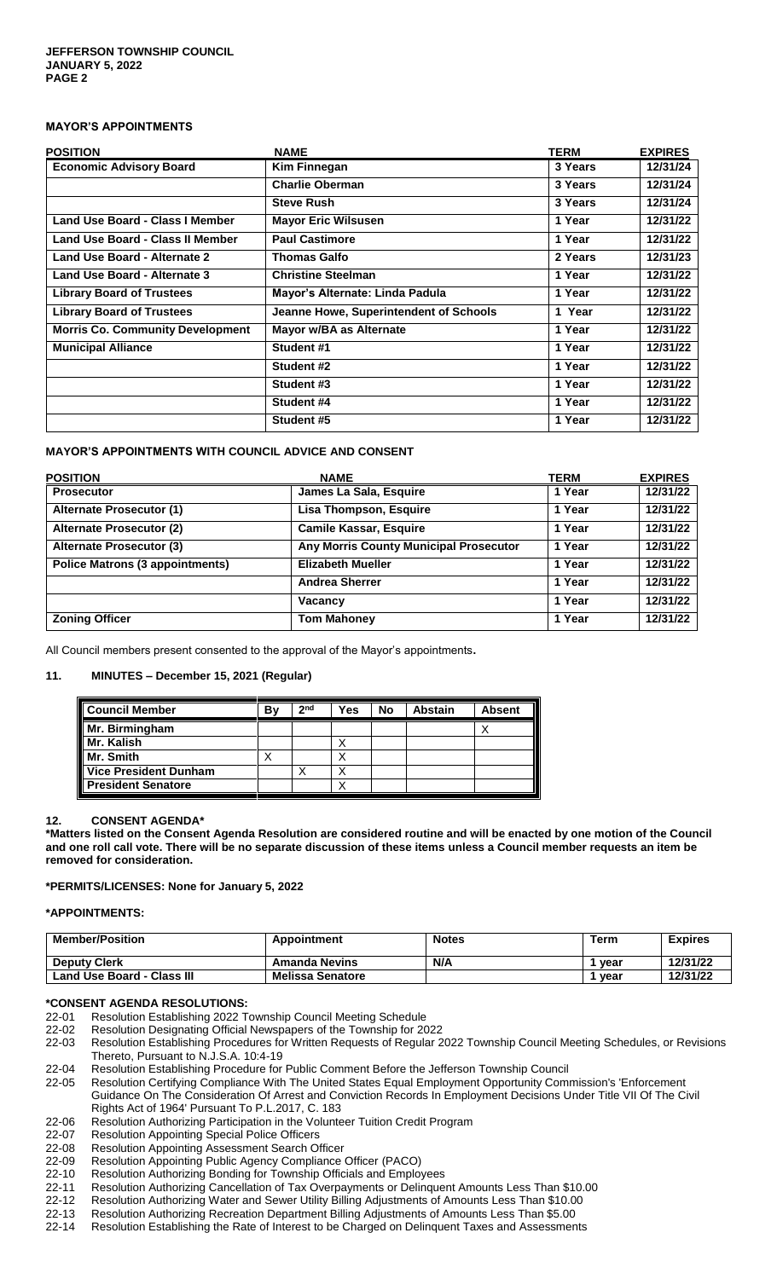# **MAYOR'S APPOINTMENTS**

| <b>POSITION</b>                         | <b>NAME</b>                            | TERM    | <b>EXPIRES</b> |
|-----------------------------------------|----------------------------------------|---------|----------------|
| <b>Economic Advisory Board</b>          | <b>Kim Finnegan</b>                    | 3 Years | 12/31/24       |
|                                         | <b>Charlie Oberman</b>                 | 3 Years | 12/31/24       |
|                                         | <b>Steve Rush</b>                      | 3 Years | 12/31/24       |
| Land Use Board - Class I Member         | <b>Mayor Eric Wilsusen</b>             | 1 Year  | 12/31/22       |
| Land Use Board - Class II Member        | <b>Paul Castimore</b>                  | 1 Year  | 12/31/22       |
| Land Use Board - Alternate 2            | <b>Thomas Galfo</b>                    | 2 Years | 12/31/23       |
| Land Use Board - Alternate 3            | <b>Christine Steelman</b>              | 1 Year  | 12/31/22       |
| <b>Library Board of Trustees</b>        | Mayor's Alternate: Linda Padula        | 1 Year  | 12/31/22       |
| <b>Library Board of Trustees</b>        | Jeanne Howe, Superintendent of Schools | 1 Year  | 12/31/22       |
| <b>Morris Co. Community Development</b> | Mayor w/BA as Alternate                | 1 Year  | 12/31/22       |
| <b>Municipal Alliance</b>               | Student #1                             | 1 Year  | 12/31/22       |
|                                         | Student #2                             | 1 Year  | 12/31/22       |
|                                         | Student #3                             | 1 Year  | 12/31/22       |
|                                         | Student #4                             | 1 Year  | 12/31/22       |
|                                         | Student #5                             | 1 Year  | 12/31/22       |

### **MAYOR'S APPOINTMENTS WITH COUNCIL ADVICE AND CONSENT**

| <b>POSITION</b>                        | <b>NAME</b>                            | TERM   | <b>EXPIRES</b> |
|----------------------------------------|----------------------------------------|--------|----------------|
| <b>Prosecutor</b>                      | James La Sala, Esquire                 | 1 Year | 12/31/22       |
| Alternate Prosecutor (1)               | Lisa Thompson, Esquire                 | 1 Year | 12/31/22       |
| <b>Alternate Prosecutor (2)</b>        | <b>Camile Kassar, Esquire</b>          | 1 Year | 12/31/22       |
| <b>Alternate Prosecutor (3)</b>        | Any Morris County Municipal Prosecutor | 1 Year | 12/31/22       |
| <b>Police Matrons (3 appointments)</b> | <b>Elizabeth Mueller</b>               | 1 Year | 12/31/22       |
|                                        | <b>Andrea Sherrer</b>                  | 1 Year | 12/31/22       |
|                                        | Vacancy                                | 1 Year | 12/31/22       |
| <b>Zoning Officer</b>                  | <b>Tom Mahoney</b>                     | 1 Year | 12/31/22       |

All Council members present consented to the approval of the Mayor's appointments**.**

### **11. MINUTES – December 15, 2021 (Regular)**

| <b>Council Member</b>     | В١ | 2 <sub>nd</sub> | Yes | No | <b>Abstain</b> | <b>Absent</b> |
|---------------------------|----|-----------------|-----|----|----------------|---------------|
| Mr. Birmingham            |    |                 |     |    |                |               |
|                           |    |                 |     |    |                |               |
| Mr. Smith                 |    |                 |     |    |                |               |
| Vice President Dunham     |    |                 |     |    |                |               |
| <b>President Senatore</b> |    |                 |     |    |                |               |

#### **12. CONSENT AGENDA\***

**\*Matters listed on the Consent Agenda Resolution are considered routine and will be enacted by one motion of the Council and one roll call vote. There will be no separate discussion of these items unless a Council member requests an item be removed for consideration.**

#### **\*PERMITS/LICENSES: None for January 5, 2022**

#### **\*APPOINTMENTS:**

| <b>Member/Position</b>     | Appointment             | <b>Notes</b> | Term | <b>Expires</b> |
|----------------------------|-------------------------|--------------|------|----------------|
| <b>Deputy Clerk</b>        | <b>Amanda Nevins</b>    | N/A          | vear | 12/31/22       |
| Land Use Board - Class III | <b>Melissa Senatore</b> |              | vear | 12/31/22       |

#### **\*CONSENT AGENDA RESOLUTIONS:**

- [22-01](file://///jeffdata16/clerk/Council%20Documents/Meetings/2018%20Meetings/1.%20%20January%203%20%20%20Reorg/Consent%20Agenda%20%20Reorg/CA%2018-01%20Meeting%20Schedule) Resolution Establishing 2022 Township Council Meeting Schedule
- [22-02](file://///jeffdata16/clerk/Council%20Documents/Meetings/2018%20Meetings/1.%20%20January%203%20%20%20Reorg/Consent%20Agenda%20%20Reorg/CA%2018-02%20Designating%20Official%20Newspapers) Resolution Designating Official Newspapers of the Township for 2022
- [22-03](file://///jeffdata16/clerk/Council%20Documents/Meetings/2018%20Meetings/1.%20%20January%203%20%20%20Reorg/Consent%20Agenda%20%20Reorg/CA%2018-03%20Procedures%20for%20Notices) Resolution Establishing Procedures for Written Requests of Regular 2022 Township Council Meeting Schedules, or Revisions Thereto, Pursuant to N.J.S.A. 10:4-19
- 22-04 Resolution Establishing Procedure for Public Comment Before the Jefferson Township Council
- 22-05 Resolution Certifying Compliance With The United States Equal Employment Opportunity Commission's 'Enforcement Guidance On The Consideration Of Arrest and Conviction Records In Employment Decisions Under Title VII Of The Civil Rights Act of 1964' Pursuant To P.L.2017, C. 183
- [22-06](file://///jeffdata16/clerk/Council%20Documents/Meetings/2018%20Meetings/1.%20%20January%203%20%20%20Reorg/Consent%20Agenda%20%20Reorg/CA%2018-06%20Volunteer%20Tuition%20Credit%20Program) Resolution Authorizing Participation in the Volunteer Tuition Credit Program
- 22-07 Resolution Appointing Special Police Officers
- [22-08](file://///jeffdata16/clerk/Council%20Documents/Meetings/2018%20Meetings/1.%20%20January%203%20%20%20Reorg/Consent%20Agenda%20%20Reorg/CA%2018-08%20Appoint%20Assessment%20Search%20Officer) Resolution Appointing Assessment Search Officer
- 22-09 Resolution Appointing Public Agency Compliance Officer (PACO)
- [22-10](file://///jeffdata16/clerk/Council%20Documents/Meetings/2018%20Meetings/1.%20%20January%203%20%20%20Reorg/Consent%20Agenda%20%20Reorg/CA%2018-11%20Bonding%20for%20Officials%20and%20Employees) Resolution Authorizing Bonding for Township Officials and Employees
- [22](file://///jeffdata16/clerk/Council%20Documents/Meetings/2018%20Meetings/1.%20%20January%203%20%20%20Reorg/Consent%20Agenda%20%20Reorg/CA%2018-13%20Cancellation%20of%20Tax%20Overpayments)-11 Resolution Authorizing Cancellation of Tax Overpayments or Delinquent Amounts Less Than \$10.00
- [22-12](file://///jeffdata16/clerk/Council%20Documents/Meetings/2018%20Meetings/1.%20%20January%203%20%20%20Reorg/Consent%20Agenda%20%20Reorg/CA%2018-14%20Water%20&%20Sewer%20Adjustments) Resolution Authorizing Water and Sewer Utility Billing Adjustments of Amounts Less Than \$10.00
- [22-13](file://///jeffdata16/clerk/Council%20Documents/Meetings/2018%20Meetings/1.%20%20January%203%20%20%20Reorg/Consent%20Agenda%20%20Reorg/CA%2018-15%20Recreation%20Billing%20Adjustments) Resolution Authorizing Recreation Department Billing Adjustments of Amounts Less Than \$5.00
- [22-14](file://///jeffdata16/clerk/Council%20Documents/Meetings/2018%20Meetings/1.%20%20January%203%20%20%20Reorg/Consent%20Agenda%20%20Reorg/CA%2018-16%20Rate%20of%20Interest%20for%20Delinquent%20Taxes) Resolution Establishing the Rate of Interest to be Charged on Delinquent Taxes and Assessments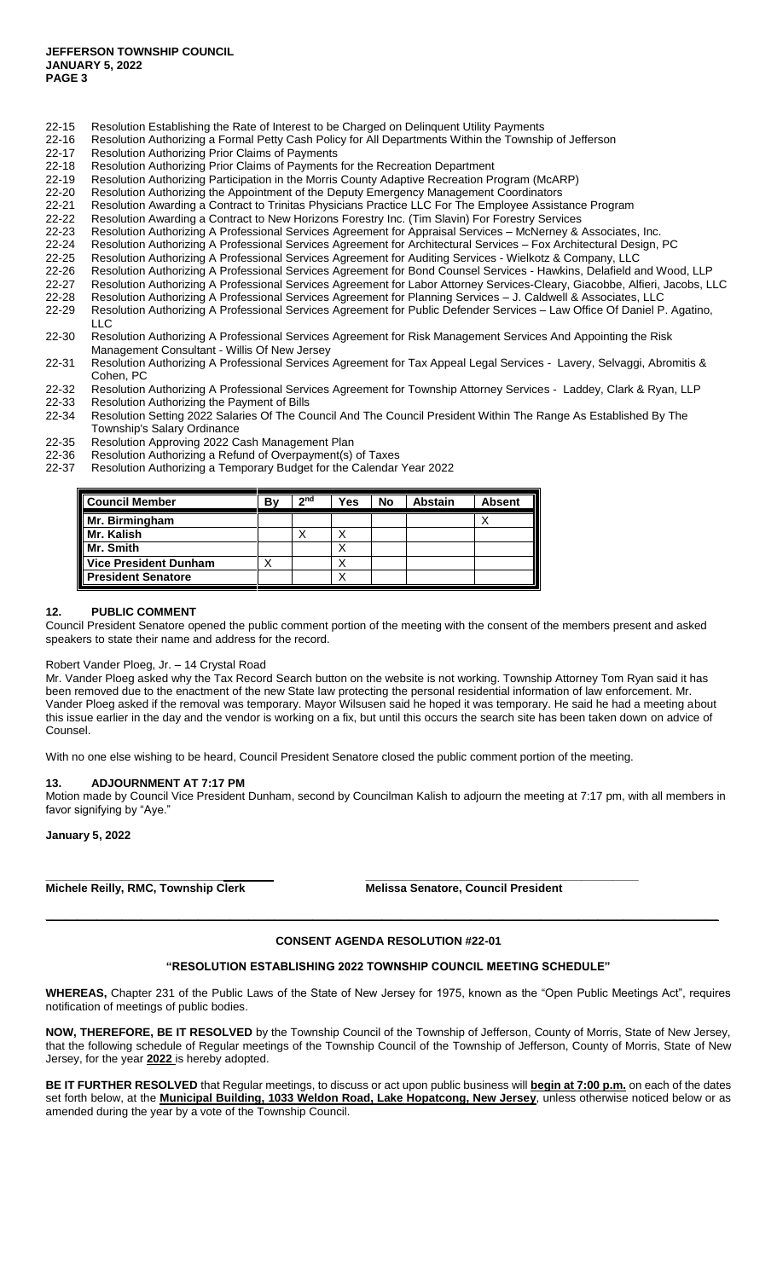- [22-15](file://///jeffdata16/clerk/Council%20Documents/Meetings/2018%20Meetings/1.%20%20January%203%20%20%20Reorg/Consent%20Agenda%20%20Reorg/CA%2018-17%20Rate%20of%20Interest%20for%20Utility%20Payments) Resolution Establishing the Rate of Interest to be Charged on Delinquent Utility Payments
- [22-16](file://///jeffdata16/clerk/Council%20Documents/Meetings/2018%20Meetings/1.%20%20January%203%20%20%20Reorg/Consent%20Agenda%20%20Reorg/CA%2018-20%20Petty%20Cash%20Policy) Resolution Authorizing a Formal Petty Cash Policy for All Departments Within the Township of Jefferson<br>22-17 Resolution Authorizing Prior Claims of Payments
- Resolution Authorizing Prior Claims of Payments
- [22-18](file://///jeffdata16/clerk/Council%20Documents/Meetings/2018%20Meetings/1.%20%20January%203%20%20%20Reorg/Consent%20Agenda%20%20Reorg/CA%2018-22%20Prior%20Payment%20for%20Recreation) Resolution Authorizing Prior Claims of Payments for the Recreation Department<br>22-19 Resolution Authorizing Participation in the Morris County Adaptive Recreation Pr
- Resolution Authorizing Participation in the Morris County Adaptive Recreation Program (McARP)
- [22-20](file://///jeffdata16/clerk/Council%20Documents/Meetings/2018%20Meetings/1.%20%20January%203%20%20%20Reorg/Consent%20Agenda%20%20Reorg/CA%2018-25%20Emergency%20Management%20Coordinator%20Appt) Resolution Authorizing the Appointment of the Deputy Emergency Management Coordinators
- [22-21](file://///jeffdata16/clerk/Council%20Documents/Meetings/2018%20Meetings/1.%20%20January%203%20%20%20Reorg/Consent%20Agenda%20%20Reorg/CA%2018-32%20Trinitas%20Employee%20Assistance%20Program) Resolution Awarding a Contract to Trinitas Physicians Practice LLC For The Employee Assistance Program
- 22-22 Resolution Awarding a Contract to New Horizons Forestry Inc. (Tim Slavin) For Forestry Services
- 22-23 Resolution Authorizing A Professional Services Agreement for Appraisal Services McNerney & Associates, Inc.
- 22-24 Resolution Authorizing A Professional Services Agreement for Architectural Services Fox Architectural Design, PC
- 22-25 Resolution Authorizing A Professional Services Agreement for Auditing Services Wielkotz & Company, LLC
- 22-26 Resolution Authorizing A Professional Services Agreement for Bond Counsel Services Hawkins, Delafield and Wood, LLP
- 22-27 Resolution Authorizing A Professional Services Agreement for Labor Attorney Services-Cleary, Giacobbe, Alfieri, Jacobs, LLC<br>22-28 Resolution Authorizing A Professional Services Agreement for Planning Services J. Ca
- Resolution Authorizing A Professional Services Agreement for Planning Services J. Caldwell & Associates, LLC
- 22-29 Resolution Authorizing A Professional Services Agreement for Public Defender Services Law Office Of Daniel P. Agatino, LLC
- 22-30 Resolution Authorizing A Professional Services Agreement for Risk Management Services And Appointing the Risk Management Consultant - Willis Of New Jersey
- 22-31 Resolution Authorizing A Professional Services Agreement for Tax Appeal Legal Services Lavery, Selvaggi, Abromitis & Cohen, PC
- 22-32 Resolution Authorizing A Professional Services Agreement for Township Attorney Services Laddey, Clark & Ryan, LLP 22-33 Resolution Authorizing the Payment of Bills
- 22-34 Resolution Setting 2022 Salaries Of The Council And The Council President Within The Range As Established By The Township's Salary Ordinance
- 22-35 Resolution Approving 2022 Cash Management Plan
- 22-36 Resolution Authorizing a Refund of Overpayment(s) of Taxes
- 22-37 Resolution Authorizing a Temporary Budget for the Calendar Year 2022

| <b>Council Member</b>        | B٧ | 2 <sub>nd</sub> | $v_{es}$ | <b>No</b> | <b>Abstain</b> | <b>Absent</b> |
|------------------------------|----|-----------------|----------|-----------|----------------|---------------|
| Mr. Birmingham               |    |                 |          |           |                |               |
| Mr. Kalish                   |    |                 |          |           |                |               |
| Mr. Smith                    |    |                 |          |           |                |               |
| <b>Vice President Dunham</b> | ⌒  |                 | ⌒        |           |                |               |
| <b>President Senatore</b>    |    |                 |          |           |                |               |

#### **12. PUBLIC COMMENT**

Council President Senatore opened the public comment portion of the meeting with the consent of the members present and asked speakers to state their name and address for the record.

#### Robert Vander Ploeg, Jr. – 14 Crystal Road

Mr. Vander Ploeg asked why the Tax Record Search button on the website is not working. Township Attorney Tom Ryan said it has been removed due to the enactment of the new State law protecting the personal residential information of law enforcement. Mr. Vander Ploeg asked if the removal was temporary. Mayor Wilsusen said he hoped it was temporary. He said he had a meeting about this issue earlier in the day and the vendor is working on a fix, but until this occurs the search site has been taken down on advice of Counsel.

With no one else wishing to be heard, Council President Senatore closed the public comment portion of the meeting.

**\_\_\_\_\_\_\_\_\_\_\_\_\_\_\_\_\_\_\_\_\_\_\_\_\_\_\_\_ \_\_\_\_\_\_\_\_\_\_\_\_\_\_\_\_\_\_\_\_\_\_\_\_\_\_\_\_\_\_\_\_\_\_\_\_\_\_\_\_\_\_\_**

#### **13. ADJOURNMENT AT 7:17 PM**

Motion made by Council Vice President Dunham, second by Councilman Kalish to adjourn the meeting at 7:17 pm, with all members in favor signifying by "Aye."

#### **January 5, 2022**

**Michele Reilly, RMC, Township Clerk Melissa Senatore, Council President**

### **CONSENT AGENDA RESOLUTION #22-01**

**\_\_\_\_\_\_\_\_\_\_\_\_\_\_\_\_\_\_\_\_\_\_\_\_\_\_\_\_\_\_\_\_\_\_\_\_\_\_\_\_\_\_\_\_\_\_\_\_\_\_\_\_\_\_\_\_\_\_\_\_\_\_\_\_\_\_\_\_\_\_\_\_\_\_\_\_\_\_\_\_\_\_\_\_\_\_\_\_\_\_\_\_\_\_\_\_\_\_\_\_\_\_\_\_\_\_**

#### **"RESOLUTION ESTABLISHING 2022 TOWNSHIP COUNCIL MEETING SCHEDULE"**

**WHEREAS,** Chapter 231 of the Public Laws of the State of New Jersey for 1975, known as the "Open Public Meetings Act", requires notification of meetings of public bodies.

**NOW, THEREFORE, BE IT RESOLVED** by the Township Council of the Township of Jefferson, County of Morris, State of New Jersey, that the following schedule of Regular meetings of the Township Council of the Township of Jefferson, County of Morris, State of New Jersey, for the year **2022** is hereby adopted.

**BE IT FURTHER RESOLVED** that Regular meetings, to discuss or act upon public business will **begin at 7:00 p.m.** on each of the dates set forth below, at the **Municipal Building, 1033 Weldon Road, Lake Hopatcong, New Jersey**, unless otherwise noticed below or as amended during the year by a vote of the Township Council.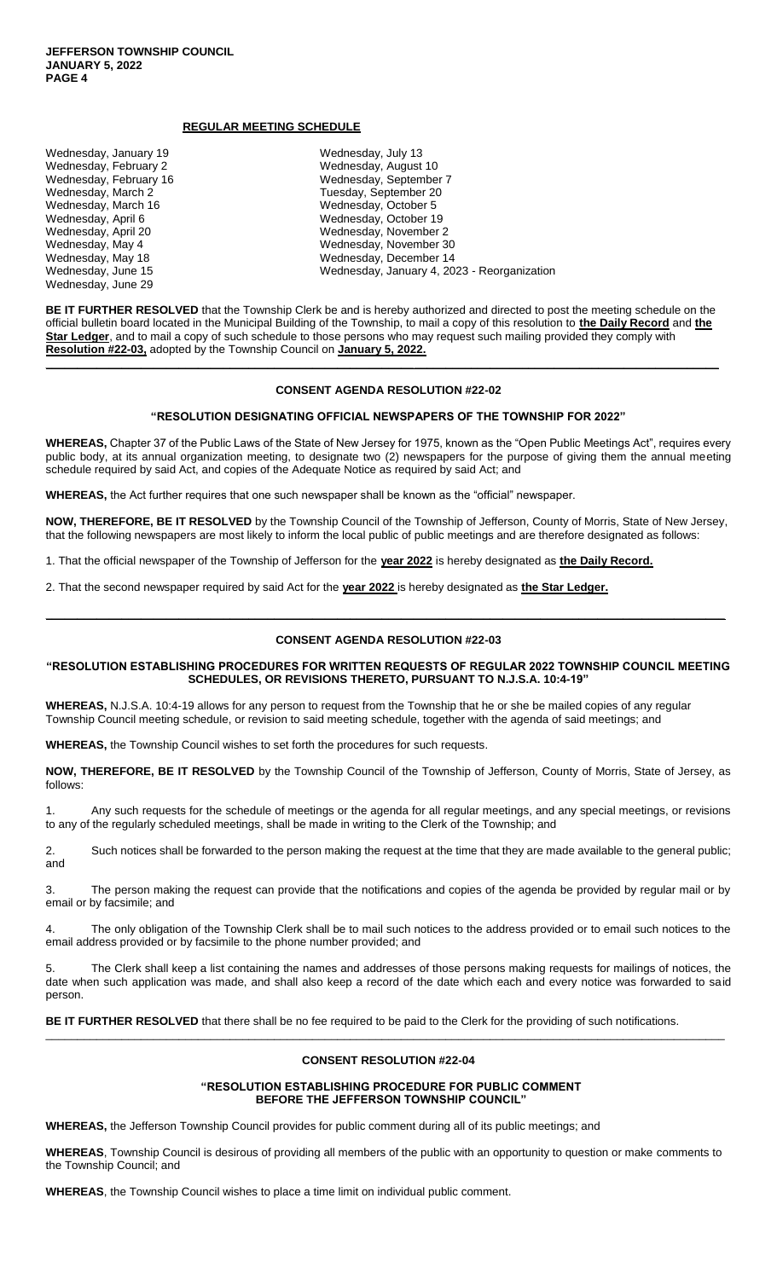Wednesday, June 29

### **REGULAR MEETING SCHEDULE**

| Wednesday, January 19  | Wednesday, July 13                          |
|------------------------|---------------------------------------------|
| Wednesday, February 2  | Wednesday, August 10                        |
| Wednesday, February 16 | Wednesday, September 7                      |
| Wednesday, March 2     | Tuesday, September 20                       |
| Wednesday, March 16    | Wednesday, October 5                        |
| Wednesday, April 6     | Wednesday, October 19                       |
| Wednesday, April 20    | Wednesday, November 2                       |
| Wednesday, May 4       | Wednesday, November 30                      |
| Wednesday, May 18      | Wednesday, December 14                      |
| Wednesday, June 15     | Wednesday, January 4, 2023 - Reorganization |

**BE IT FURTHER RESOLVED** that the Township Clerk be and is hereby authorized and directed to post the meeting schedule on the official bulletin board located in the Municipal Building of the Township, to mail a copy of this resolution to **the Daily Record** and **the Star Ledger**, and to mail a copy of such schedule to those persons who may request such mailing provided they comply with **Resolution #22-03,** adopted by the Township Council on **January 5, 2022.**

**\_\_\_\_\_\_\_\_\_\_\_\_\_\_\_\_\_\_\_\_\_\_\_\_\_\_\_\_\_\_\_\_\_\_\_\_\_\_\_\_\_\_\_\_\_\_\_\_\_\_\_\_\_\_\_\_\_\_\_\_\_\_\_\_\_\_\_\_\_\_\_\_\_\_\_\_\_\_\_\_\_\_\_\_\_\_\_\_\_\_\_\_\_\_\_\_\_\_\_\_\_\_\_\_\_\_**

#### **CONSENT AGENDA RESOLUTION #22-02**

#### **"RESOLUTION DESIGNATING OFFICIAL NEWSPAPERS OF THE TOWNSHIP FOR 2022"**

**WHEREAS,** Chapter 37 of the Public Laws of the State of New Jersey for 1975, known as the "Open Public Meetings Act", requires every public body, at its annual organization meeting, to designate two (2) newspapers for the purpose of giving them the annual meeting schedule required by said Act, and copies of the Adequate Notice as required by said Act; and

**WHEREAS,** the Act further requires that one such newspaper shall be known as the "official" newspaper.

**NOW, THEREFORE, BE IT RESOLVED** by the Township Council of the Township of Jefferson, County of Morris, State of New Jersey, that the following newspapers are most likely to inform the local public of public meetings and are therefore designated as follows:

1. That the official newspaper of the Township of Jefferson for the **year 2022** is hereby designated as **the Daily Record.**

2. That the second newspaper required by said Act for the **year 2022** is hereby designated as **the Star Ledger.**

### **CONSENT AGENDA RESOLUTION #22-03**

**\_\_\_\_\_\_\_\_\_\_\_\_\_\_\_\_\_\_\_\_\_\_\_\_\_\_\_\_\_\_\_\_\_\_\_\_\_\_\_\_\_\_\_\_\_\_\_\_\_\_\_\_\_\_\_\_\_\_\_\_\_\_\_\_\_\_\_\_\_\_\_\_\_\_\_\_\_\_\_\_\_\_\_\_\_\_\_\_\_\_\_\_\_\_\_\_\_\_\_\_\_\_\_\_\_\_\_**

**"RESOLUTION ESTABLISHING PROCEDURES FOR WRITTEN REQUESTS OF REGULAR 2022 TOWNSHIP COUNCIL MEETING SCHEDULES, OR REVISIONS THERETO, PURSUANT TO N.J.S.A. 10:4-19"**

**WHEREAS,** N.J.S.A. 10:4-19 allows for any person to request from the Township that he or she be mailed copies of any regular Township Council meeting schedule, or revision to said meeting schedule, together with the agenda of said meetings; and

**WHEREAS,** the Township Council wishes to set forth the procedures for such requests.

**NOW, THEREFORE, BE IT RESOLVED** by the Township Council of the Township of Jefferson, County of Morris, State of Jersey, as follows:

1. Any such requests for the schedule of meetings or the agenda for all regular meetings, and any special meetings, or revisions to any of the regularly scheduled meetings, shall be made in writing to the Clerk of the Township; and

2. Such notices shall be forwarded to the person making the request at the time that they are made available to the general public; and

3. The person making the request can provide that the notifications and copies of the agenda be provided by regular mail or by email or by facsimile; and

4. The only obligation of the Township Clerk shall be to mail such notices to the address provided or to email such notices to the email address provided or by facsimile to the phone number provided; and

5. The Clerk shall keep a list containing the names and addresses of those persons making requests for mailings of notices, the date when such application was made, and shall also keep a record of the date which each and every notice was forwarded to said person.

**BE IT FURTHER RESOLVED** that there shall be no fee required to be paid to the Clerk for the providing of such notifications.

#### **CONSENT RESOLUTION #22-04**

\_\_\_\_\_\_\_\_\_\_\_\_\_\_\_\_\_\_\_\_\_\_\_\_\_\_\_\_\_\_\_\_\_\_\_\_\_\_\_\_\_\_\_\_\_\_\_\_\_\_\_\_\_\_\_\_\_\_\_\_\_\_\_\_\_\_\_\_\_\_\_\_\_\_\_\_\_\_\_\_\_\_\_\_\_\_\_\_\_\_\_\_\_\_\_\_\_\_\_\_\_\_\_\_\_\_\_

### **"RESOLUTION ESTABLISHING PROCEDURE FOR PUBLIC COMMENT BEFORE THE JEFFERSON TOWNSHIP COUNCIL"**

**WHEREAS,** the Jefferson Township Council provides for public comment during all of its public meetings; and

**WHEREAS**, Township Council is desirous of providing all members of the public with an opportunity to question or make comments to the Township Council; and

**WHEREAS**, the Township Council wishes to place a time limit on individual public comment.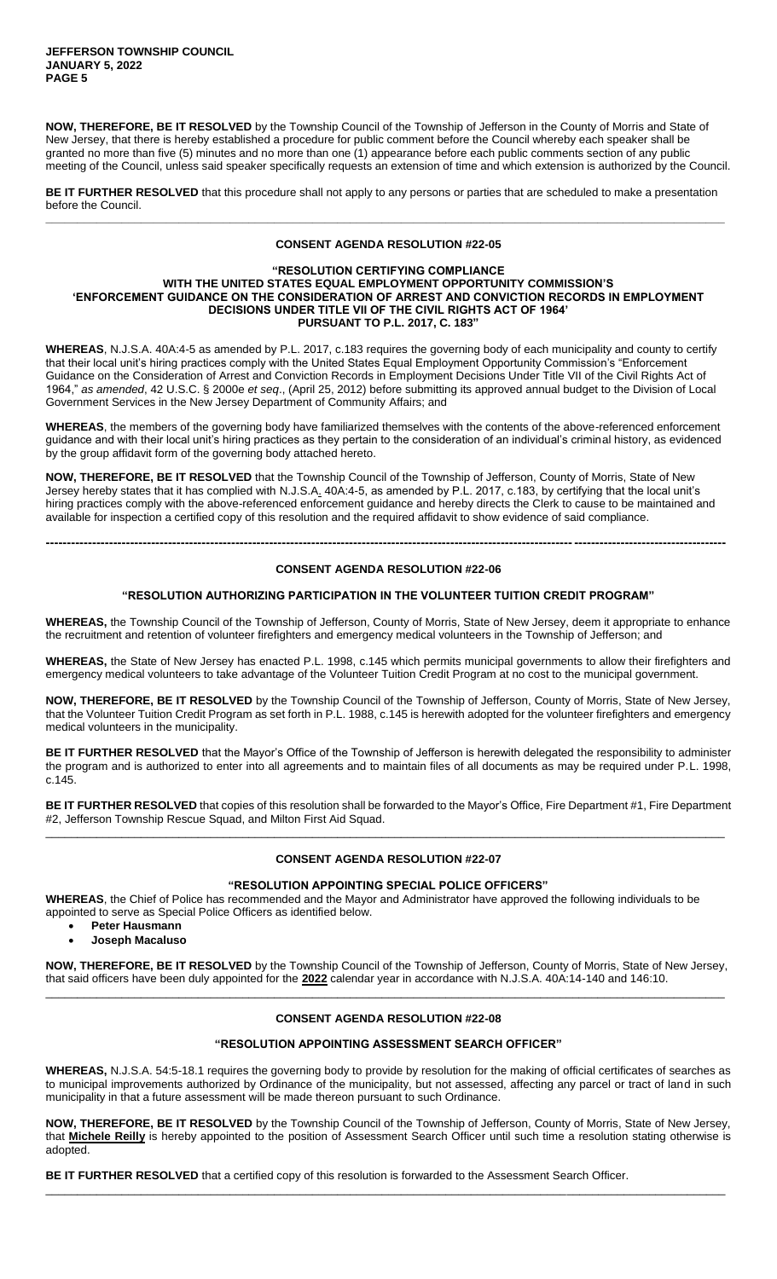**NOW, THEREFORE, BE IT RESOLVED** by the Township Council of the Township of Jefferson in the County of Morris and State of New Jersey, that there is hereby established a procedure for public comment before the Council whereby each speaker shall be granted no more than five (5) minutes and no more than one (1) appearance before each public comments section of any public meeting of the Council, unless said speaker specifically requests an extension of time and which extension is authorized by the Council.

**BE IT FURTHER RESOLVED** that this procedure shall not apply to any persons or parties that are scheduled to make a presentation before the Council. **\_\_\_\_\_\_\_\_\_\_\_\_\_\_\_\_\_\_\_\_\_\_\_\_\_\_\_\_\_\_\_\_\_\_\_\_\_\_\_\_\_\_\_\_\_\_\_\_\_\_\_\_\_\_\_\_\_\_\_\_\_\_\_\_\_\_\_\_\_\_\_\_\_\_\_\_\_\_\_\_\_\_\_\_\_\_\_\_\_\_\_\_\_\_\_\_\_\_\_\_\_\_\_\_\_\_\_**

### **CONSENT AGENDA RESOLUTION #22-05**

#### **"RESOLUTION CERTIFYING COMPLIANCE WITH THE UNITED STATES EQUAL EMPLOYMENT OPPORTUNITY COMMISSION'S 'ENFORCEMENT GUIDANCE ON THE CONSIDERATION OF ARREST AND CONVICTION RECORDS IN EMPLOYMENT DECISIONS UNDER TITLE VII OF THE CIVIL RIGHTS ACT OF 1964' PURSUANT TO P.L. 2017, C. 183"**

**WHEREAS**, N.J.S.A. 40A:4-5 as amended by P.L. 2017, c.183 requires the governing body of each municipality and county to certify that their local unit's hiring practices comply with the United States Equal Employment Opportunity Commission's "Enforcement Guidance on the Consideration of Arrest and Conviction Records in Employment Decisions Under Title VII of the Civil Rights Act of 1964," *as amended*, 42 U.S.C. § 2000e *et seq*., (April 25, 2012) before submitting its approved annual budget to the Division of Local Government Services in the New Jersey Department of Community Affairs; and

**WHEREAS**, the members of the governing body have familiarized themselves with the contents of the above-referenced enforcement guidance and with their local unit's hiring practices as they pertain to the consideration of an individual's criminal history, as evidenced by the group affidavit form of the governing body attached hereto.

**NOW, THEREFORE, BE IT RESOLVED** that the Township Council of the Township of Jefferson, County of Morris, State of New Jersey hereby states that it has complied with N.J.S.A. 40A:4-5, as amended by P.L. 2017, c.183, by certifying that the local unit's hiring practices comply with the above-referenced enforcement guidance and hereby directs the Clerk to cause to be maintained and available for inspection a certified copy of this resolution and the required affidavit to show evidence of said compliance.

### **CONSENT AGENDA RESOLUTION #22-06**

**-----------------------------------------------------------------------------------------------------------------------------------------------------------------**

### **"RESOLUTION AUTHORIZING PARTICIPATION IN THE VOLUNTEER TUITION CREDIT PROGRAM"**

**WHEREAS,** the Township Council of the Township of Jefferson, County of Morris, State of New Jersey, deem it appropriate to enhance the recruitment and retention of volunteer firefighters and emergency medical volunteers in the Township of Jefferson; and

**WHEREAS,** the State of New Jersey has enacted P.L. 1998, c.145 which permits municipal governments to allow their firefighters and emergency medical volunteers to take advantage of the Volunteer Tuition Credit Program at no cost to the municipal government.

**NOW, THEREFORE, BE IT RESOLVED** by the Township Council of the Township of Jefferson, County of Morris, State of New Jersey, that the Volunteer Tuition Credit Program as set forth in P.L. 1988, c.145 is herewith adopted for the volunteer firefighters and emergency medical volunteers in the municipality.

**BE IT FURTHER RESOLVED** that the Mayor's Office of the Township of Jefferson is herewith delegated the responsibility to administer the program and is authorized to enter into all agreements and to maintain files of all documents as may be required under P.L. 1998, c.145.

**BE IT FURTHER RESOLVED** that copies of this resolution shall be forwarded to the Mayor's Office, Fire Department #1, Fire Department #2, Jefferson Township Rescue Squad, and Milton First Aid Squad. \_\_\_\_\_\_\_\_\_\_\_\_\_\_\_\_\_\_\_\_\_\_\_\_\_\_\_\_\_\_\_\_\_\_\_\_\_\_\_\_\_\_\_\_\_\_\_\_\_\_\_\_\_\_\_\_\_\_\_\_\_\_\_\_\_\_\_\_\_\_\_\_\_\_\_\_\_\_\_\_\_\_\_\_\_\_\_\_\_\_\_\_\_\_\_\_\_\_\_\_\_\_\_\_\_\_\_

## **CONSENT AGENDA RESOLUTION #22-07**

### **"RESOLUTION APPOINTING SPECIAL POLICE OFFICERS"**

**WHEREAS**, the Chief of Police has recommended and the Mayor and Administrator have approved the following individuals to be appointed to serve as Special Police Officers as identified below.

- **Peter Hausmann**
- **Joseph Macaluso**

**NOW, THEREFORE, BE IT RESOLVED** by the Township Council of the Township of Jefferson, County of Morris, State of New Jersey, that said officers have been duly appointed for the **2022** calendar year in accordance with N.J.S.A. 40A:14-140 and 146:10. \_\_\_\_\_\_\_\_\_\_\_\_\_\_\_\_\_\_\_\_\_\_\_\_\_\_\_\_\_\_\_\_\_\_\_\_\_\_\_\_\_\_\_\_\_\_\_\_\_\_\_\_\_\_\_\_\_\_\_\_\_\_\_\_\_\_\_\_\_\_\_\_\_\_\_\_\_\_\_\_\_\_\_\_\_\_\_\_\_\_\_\_\_\_\_\_\_\_\_\_\_\_\_\_\_\_\_

## **CONSENT AGENDA RESOLUTION #22-08**

# **"RESOLUTION APPOINTING ASSESSMENT SEARCH OFFICER"**

**WHEREAS,** N.J.S.A. 54:5-18.1 requires the governing body to provide by resolution for the making of official certificates of searches as to municipal improvements authorized by Ordinance of the municipality, but not assessed, affecting any parcel or tract of land in such municipality in that a future assessment will be made thereon pursuant to such Ordinance.

**NOW, THEREFORE, BE IT RESOLVED** by the Township Council of the Township of Jefferson, County of Morris, State of New Jersey, that **Michele Reilly** is hereby appointed to the position of Assessment Search Officer until such time a resolution stating otherwise is adopted.

\_\_\_\_\_\_\_\_\_\_\_\_\_\_\_\_\_\_\_\_\_\_\_\_\_\_\_\_\_\_\_\_\_\_\_\_\_\_\_\_\_\_\_\_\_\_\_\_\_\_\_\_\_\_\_\_\_\_\_\_\_\_\_\_\_\_\_\_\_\_\_\_\_\_\_\_\_\_\_\_\_\_\_\_\_\_\_\_\_\_\_\_\_\_\_\_\_\_\_\_\_\_\_\_\_\_\_

**BE IT FURTHER RESOLVED** that a certified copy of this resolution is forwarded to the Assessment Search Officer.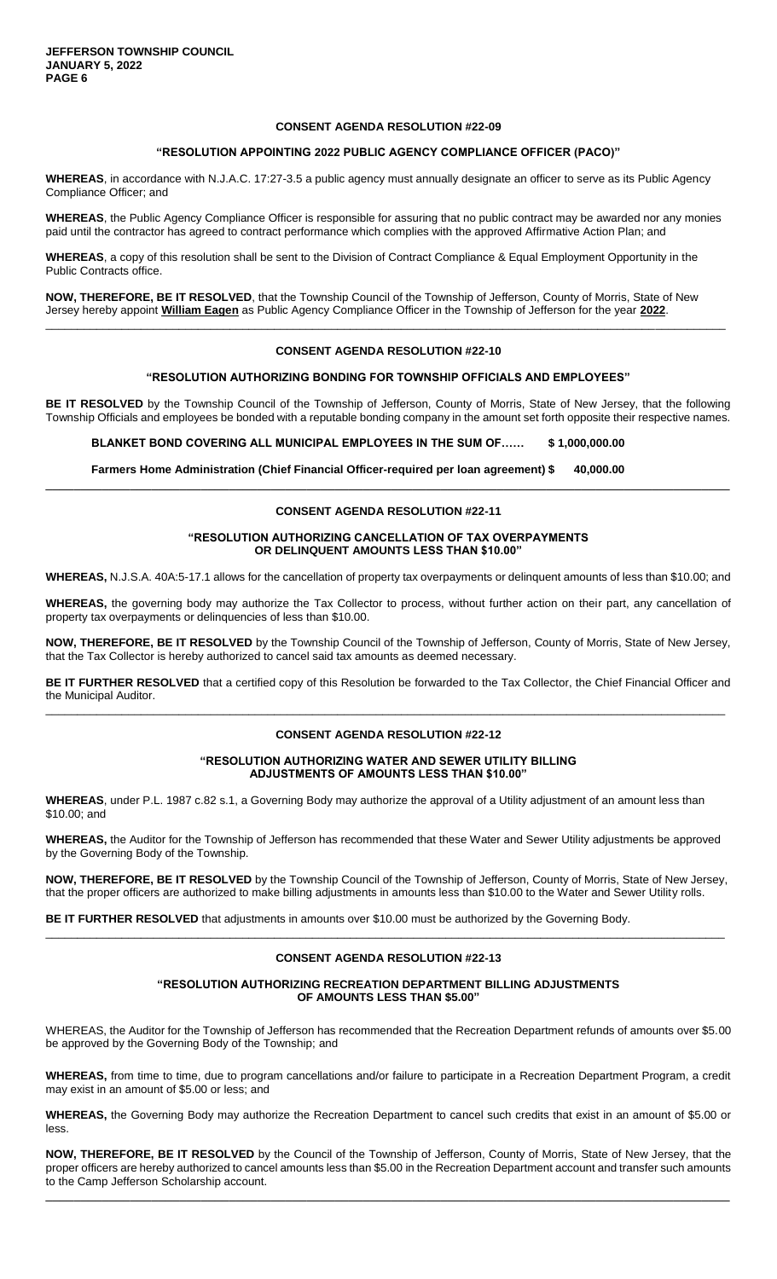#### **"RESOLUTION APPOINTING 2022 PUBLIC AGENCY COMPLIANCE OFFICER (PACO)"**

**WHEREAS**, in accordance with N.J.A.C. 17:27-3.5 a public agency must annually designate an officer to serve as its Public Agency Compliance Officer; and

**WHEREAS**, the Public Agency Compliance Officer is responsible for assuring that no public contract may be awarded nor any monies paid until the contractor has agreed to contract performance which complies with the approved Affirmative Action Plan; and

**WHEREAS**, a copy of this resolution shall be sent to the Division of Contract Compliance & Equal Employment Opportunity in the Public Contracts office.

**NOW, THEREFORE, BE IT RESOLVED**, that the Township Council of the Township of Jefferson, County of Morris, State of New Jersey hereby appoint **William Eagen** as Public Agency Compliance Officer in the Township of Jefferson for the year **2022**.

### **CONSENT AGENDA RESOLUTION #22-10**

\_\_\_\_\_\_\_\_\_\_\_\_\_\_\_\_\_\_\_\_\_\_\_\_\_\_\_\_\_\_\_\_\_\_\_\_\_\_\_\_\_\_\_\_\_\_\_\_\_\_\_\_\_\_\_\_\_\_\_\_\_\_\_\_\_\_\_\_\_\_\_\_\_\_\_\_\_\_\_\_\_\_\_\_\_\_\_\_\_\_\_\_\_\_\_\_\_\_\_\_\_\_\_\_\_\_\_

#### **"RESOLUTION AUTHORIZING BONDING FOR TOWNSHIP OFFICIALS AND EMPLOYEES"**

**BE IT RESOLVED** by the Township Council of the Township of Jefferson, County of Morris, State of New Jersey, that the following Township Officials and employees be bonded with a reputable bonding company in the amount set forth opposite their respective names.

**BLANKET BOND COVERING ALL MUNICIPAL EMPLOYEES IN THE SUM OF…… \$ 1,000,000.00**

**Farmers Home Administration (Chief Financial Officer-required per loan agreement) \$ 40,000.00**

### **CONSENT AGENDA RESOLUTION #22-11**

 $\Box$ 

### **"RESOLUTION AUTHORIZING CANCELLATION OF TAX OVERPAYMENTS OR DELINQUENT AMOUNTS LESS THAN \$10.00"**

**WHEREAS,** N.J.S.A. 40A:5-17.1 allows for the cancellation of property tax overpayments or delinquent amounts of less than \$10.00; and

**WHEREAS,** the governing body may authorize the Tax Collector to process, without further action on their part, any cancellation of property tax overpayments or delinquencies of less than \$10.00.

**NOW, THEREFORE, BE IT RESOLVED** by the Township Council of the Township of Jefferson, County of Morris, State of New Jersey, that the Tax Collector is hereby authorized to cancel said tax amounts as deemed necessary.

**BE IT FURTHER RESOLVED** that a certified copy of this Resolution be forwarded to the Tax Collector, the Chief Financial Officer and the Municipal Auditor. \_\_\_\_\_\_\_\_\_\_\_\_\_\_\_\_\_\_\_\_\_\_\_\_\_\_\_\_\_\_\_\_\_\_\_\_\_\_\_\_\_\_\_\_\_\_\_\_\_\_\_\_\_\_\_\_\_\_\_\_\_\_\_\_\_\_\_\_\_\_\_\_\_\_\_\_\_\_\_\_\_\_\_\_\_\_\_\_\_\_\_\_\_\_\_\_\_\_\_\_\_\_\_\_\_\_\_

### **CONSENT AGENDA RESOLUTION #22-12**

### **"RESOLUTION AUTHORIZING WATER AND SEWER UTILITY BILLING ADJUSTMENTS OF AMOUNTS LESS THAN \$10.00"**

**WHEREAS**, under P.L. 1987 c.82 s.1, a Governing Body may authorize the approval of a Utility adjustment of an amount less than \$10.00; and

**WHEREAS,** the Auditor for the Township of Jefferson has recommended that these Water and Sewer Utility adjustments be approved by the Governing Body of the Township.

**NOW, THEREFORE, BE IT RESOLVED** by the Township Council of the Township of Jefferson, County of Morris, State of New Jersey, that the proper officers are authorized to make billing adjustments in amounts less than \$10.00 to the Water and Sewer Utility rolls.

**BE IT FURTHER RESOLVED** that adjustments in amounts over \$10.00 must be authorized by the Governing Body.

### **CONSENT AGENDA RESOLUTION #22-13**

\_\_\_\_\_\_\_\_\_\_\_\_\_\_\_\_\_\_\_\_\_\_\_\_\_\_\_\_\_\_\_\_\_\_\_\_\_\_\_\_\_\_\_\_\_\_\_\_\_\_\_\_\_\_\_\_\_\_\_\_\_\_\_\_\_\_\_\_\_\_\_\_\_\_\_\_\_\_\_\_\_\_\_\_\_\_\_\_\_\_\_\_\_\_\_\_\_\_\_\_\_\_\_\_\_\_\_

#### **"RESOLUTION AUTHORIZING RECREATION DEPARTMENT BILLING ADJUSTMENTS OF AMOUNTS LESS THAN \$5.00"**

WHEREAS, the Auditor for the Township of Jefferson has recommended that the Recreation Department refunds of amounts over \$5.00 be approved by the Governing Body of the Township; and

**WHEREAS,** from time to time, due to program cancellations and/or failure to participate in a Recreation Department Program, a credit may exist in an amount of \$5.00 or less; and

**WHEREAS,** the Governing Body may authorize the Recreation Department to cancel such credits that exist in an amount of \$5.00 or less.

**NOW, THEREFORE, BE IT RESOLVED** by the Council of the Township of Jefferson, County of Morris, State of New Jersey, that the proper officers are hereby authorized to cancel amounts less than \$5.00 in the Recreation Department account and transfer such amounts to the Camp Jefferson Scholarship account.

\_\_\_\_\_\_\_\_\_\_\_\_\_\_\_\_\_\_\_\_\_\_\_\_\_\_\_\_\_\_\_\_\_\_\_\_\_\_\_\_\_\_\_\_\_\_\_\_\_\_\_\_\_\_\_\_\_\_\_\_\_\_\_\_\_\_\_\_\_\_\_\_\_\_\_\_\_\_\_\_\_\_\_\_\_\_\_\_\_\_\_\_\_\_\_\_\_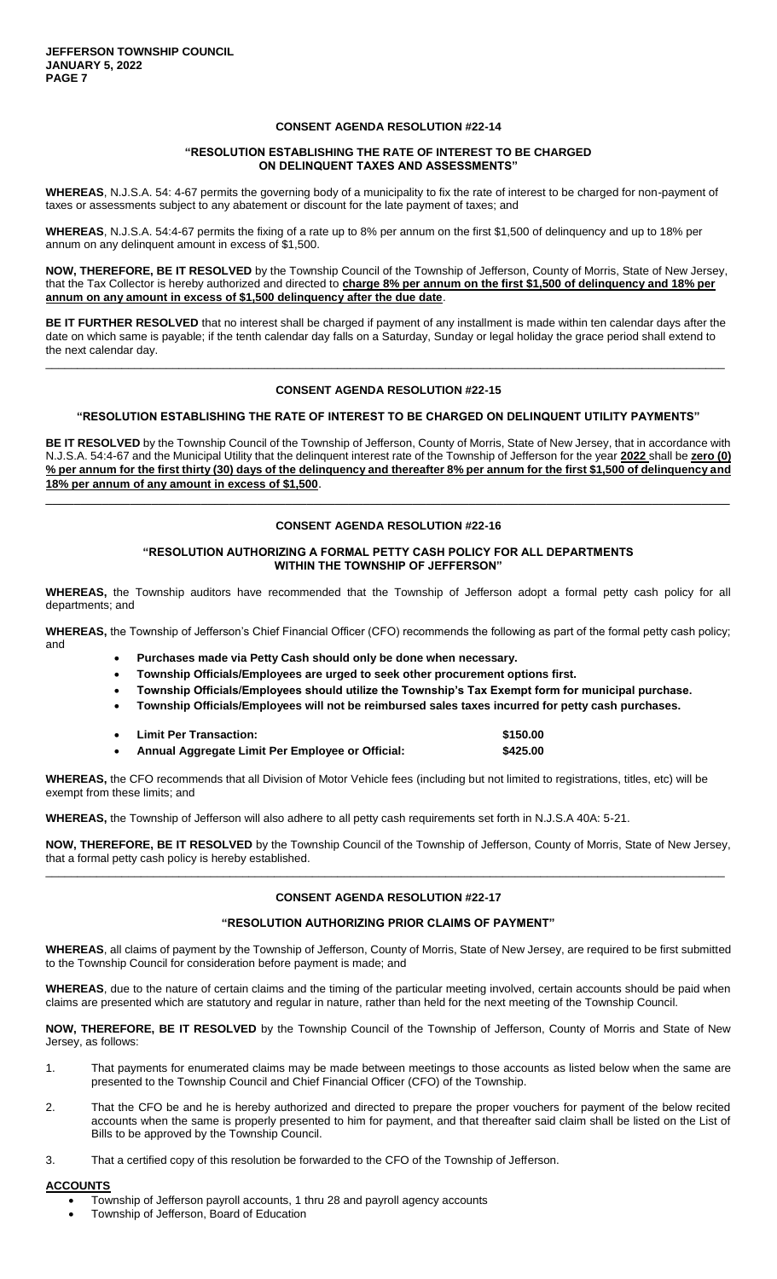### **"RESOLUTION ESTABLISHING THE RATE OF INTEREST TO BE CHARGED ON DELINQUENT TAXES AND ASSESSMENTS"**

**WHEREAS**, N.J.S.A. 54: 4-67 permits the governing body of a municipality to fix the rate of interest to be charged for non-payment of taxes or assessments subject to any abatement or discount for the late payment of taxes; and

**WHEREAS**, N.J.S.A. 54:4-67 permits the fixing of a rate up to 8% per annum on the first \$1,500 of delinquency and up to 18% per annum on any delinquent amount in excess of \$1,500.

**NOW, THEREFORE, BE IT RESOLVED** by the Township Council of the Township of Jefferson, County of Morris, State of New Jersey, that the Tax Collector is hereby authorized and directed to **charge 8% per annum on the first \$1,500 of delinquency and 18% per annum on any amount in excess of \$1,500 delinquency after the due date**.

**BE IT FURTHER RESOLVED** that no interest shall be charged if payment of any installment is made within ten calendar days after the date on which same is payable; if the tenth calendar day falls on a Saturday, Sunday or legal holiday the grace period shall extend to the next calendar day.

\_\_\_\_\_\_\_\_\_\_\_\_\_\_\_\_\_\_\_\_\_\_\_\_\_\_\_\_\_\_\_\_\_\_\_\_\_\_\_\_\_\_\_\_\_\_\_\_\_\_\_\_\_\_\_\_\_\_\_\_\_\_\_\_\_\_\_\_\_\_\_\_\_\_\_\_\_\_\_\_\_\_\_\_\_\_\_\_\_\_\_\_\_\_\_\_\_\_\_\_\_\_\_\_\_\_\_

#### **CONSENT AGENDA RESOLUTION #22-15**

### **"RESOLUTION ESTABLISHING THE RATE OF INTEREST TO BE CHARGED ON DELINQUENT UTILITY PAYMENTS"**

**BE IT RESOLVED** by the Township Council of the Township of Jefferson, County of Morris, State of New Jersey, that in accordance with N.J.S.A. 54:4-67 and the Municipal Utility that the delinquent interest rate of the Township of Jefferson for the year **2022** shall be **zero (0) % per annum for the first thirty (30) days of the delinquency and thereafter 8% per annum for the first \$1,500 of delinquency and 18% per annum of any amount in excess of \$1,500**.  $\Box$ 

### **CONSENT AGENDA RESOLUTION #22-16**

### **"RESOLUTION AUTHORIZING A FORMAL PETTY CASH POLICY FOR ALL DEPARTMENTS WITHIN THE TOWNSHIP OF JEFFERSON"**

**WHEREAS,** the Township auditors have recommended that the Township of Jefferson adopt a formal petty cash policy for all departments; and

**WHEREAS,** the Township of Jefferson's Chief Financial Officer (CFO) recommends the following as part of the formal petty cash policy; and

- **Purchases made via Petty Cash should only be done when necessary.**
- **Township Officials/Employees are urged to seek other procurement options first.**
- **Township Officials/Employees should utilize the Township's Tax Exempt form for municipal purchase.**
- **Township Officials/Employees will not be reimbursed sales taxes incurred for petty cash purchases.**
- **Limit Per Transaction: \$150.00 Annual Aggregate Limit Per Employee or Official: \$425.00**

**WHEREAS,** the CFO recommends that all Division of Motor Vehicle fees (including but not limited to registrations, titles, etc) will be exempt from these limits; and

**WHEREAS,** the Township of Jefferson will also adhere to all petty cash requirements set forth in N.J.S.A 40A: 5-21.

**NOW, THEREFORE, BE IT RESOLVED** by the Township Council of the Township of Jefferson, County of Morris, State of New Jersey, that a formal petty cash policy is hereby established. \_\_\_\_\_\_\_\_\_\_\_\_\_\_\_\_\_\_\_\_\_\_\_\_\_\_\_\_\_\_\_\_\_\_\_\_\_\_\_\_\_\_\_\_\_\_\_\_\_\_\_\_\_\_\_\_\_\_\_\_\_\_\_\_\_\_\_\_\_\_\_\_\_\_\_\_\_\_\_\_\_\_\_\_\_\_\_\_\_\_\_\_\_\_\_\_\_\_\_\_\_\_\_\_\_\_\_

### **CONSENT AGENDA RESOLUTION #22-17**

# **"RESOLUTION AUTHORIZING PRIOR CLAIMS OF PAYMENT"**

**WHEREAS**, all claims of payment by the Township of Jefferson, County of Morris, State of New Jersey, are required to be first submitted to the Township Council for consideration before payment is made; and

**WHEREAS**, due to the nature of certain claims and the timing of the particular meeting involved, certain accounts should be paid when claims are presented which are statutory and regular in nature, rather than held for the next meeting of the Township Council.

**NOW, THEREFORE, BE IT RESOLVED** by the Township Council of the Township of Jefferson, County of Morris and State of New Jersey, as follows:

- 1. That payments for enumerated claims may be made between meetings to those accounts as listed below when the same are presented to the Township Council and Chief Financial Officer (CFO) of the Township.
- 2. That the CFO be and he is hereby authorized and directed to prepare the proper vouchers for payment of the below recited accounts when the same is properly presented to him for payment, and that thereafter said claim shall be listed on the List of Bills to be approved by the Township Council.
- 3. That a certified copy of this resolution be forwarded to the CFO of the Township of Jefferson.

# **ACCOUNTS**

- Township of Jefferson payroll accounts, 1 thru 28 and payroll agency accounts
- Township of Jefferson, Board of Education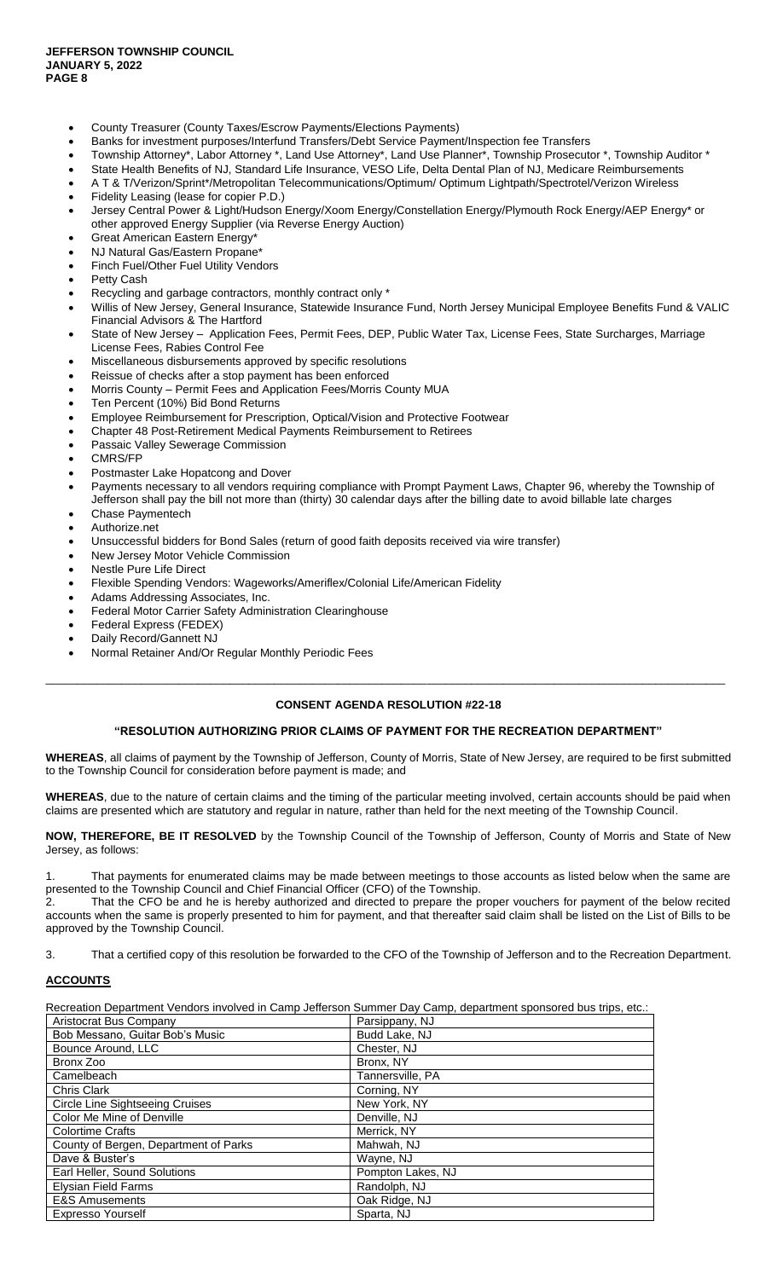- County Treasurer (County Taxes/Escrow Payments/Elections Payments)
- Banks for investment purposes/Interfund Transfers/Debt Service Payment/Inspection fee Transfers
- Township Attorney\*, Labor Attorney \*, Land Use Attorney\*, Land Use Planner\*, Township Prosecutor \*, Township Auditor \*
- State Health Benefits of NJ, Standard Life Insurance, VESO Life, Delta Dental Plan of NJ, Medicare Reimbursements
- A T & T/Verizon/Sprint\*/Metropolitan Telecommunications/Optimum/ Optimum Lightpath/Spectrotel/Verizon Wireless
- Fidelity Leasing (lease for copier P.D.)
- Jersey Central Power & Light/Hudson Energy/Xoom Energy/Constellation Energy/Plymouth Rock Energy/AEP Energy\* or other approved Energy Supplier (via Reverse Energy Auction)
- Great American Eastern Energy\*
- NJ Natural Gas/Eastern Propane\*
- Finch Fuel/Other Fuel Utility Vendors
- Petty Cash
- Recycling and garbage contractors, monthly contract only \*
- Willis of New Jersey, General Insurance, Statewide Insurance Fund, North Jersey Municipal Employee Benefits Fund & VALIC Financial Advisors & The Hartford
- State of New Jersey Application Fees, Permit Fees, DEP, Public Water Tax, License Fees, State Surcharges, Marriage License Fees, Rabies Control Fee
- Miscellaneous disbursements approved by specific resolutions
- Reissue of checks after a stop payment has been enforced
- Morris County Permit Fees and Application Fees/Morris County MUA
- Ten Percent (10%) Bid Bond Returns
- Employee Reimbursement for Prescription, Optical/Vision and Protective Footwear
- Chapter 48 Post-Retirement Medical Payments Reimbursement to Retirees
- Passaic Valley Sewerage Commission
- CMRS/FP
- Postmaster Lake Hopatcong and Dover
- Payments necessary to all vendors requiring compliance with Prompt Payment Laws, Chapter 96, whereby the Township of Jefferson shall pay the bill not more than (thirty) 30 calendar days after the billing date to avoid billable late charges
- Chase Paymentech
- Authorize.net
- Unsuccessful bidders for Bond Sales (return of good faith deposits received via wire transfer)
- New Jersey Motor Vehicle Commission
- Nestle Pure Life Direct
- Flexible Spending Vendors: Wageworks/Ameriflex/Colonial Life/American Fidelity
- Adams Addressing Associates, Inc.
- Federal Motor Carrier Safety Administration Clearinghouse
- Federal Express (FEDEX)
- Daily Record/Gannett NJ
- Normal Retainer And/Or Regular Monthly Periodic Fees

\_\_\_\_\_\_\_\_\_\_\_\_\_\_\_\_\_\_\_\_\_\_\_\_\_\_\_\_\_\_\_\_\_\_\_\_\_\_\_\_\_\_\_\_\_\_\_\_\_\_\_\_\_\_\_\_\_\_\_\_\_\_\_\_\_\_\_\_\_\_\_\_\_\_\_\_\_\_\_\_\_\_\_\_\_\_\_\_\_\_\_\_\_\_\_\_\_\_\_\_\_\_\_\_\_\_\_

### **"RESOLUTION AUTHORIZING PRIOR CLAIMS OF PAYMENT FOR THE RECREATION DEPARTMENT"**

**WHEREAS**, all claims of payment by the Township of Jefferson, County of Morris, State of New Jersey, are required to be first submitted to the Township Council for consideration before payment is made; and

**WHEREAS**, due to the nature of certain claims and the timing of the particular meeting involved, certain accounts should be paid when claims are presented which are statutory and regular in nature, rather than held for the next meeting of the Township Council.

**NOW, THEREFORE, BE IT RESOLVED** by the Township Council of the Township of Jefferson, County of Morris and State of New Jersey, as follows:

That payments for enumerated claims may be made between meetings to those accounts as listed below when the same are presented to the Township Council and Chief Financial Officer (CFO) of the Township.

That the CFO be and he is hereby authorized and directed to prepare the proper vouchers for payment of the below recited accounts when the same is properly presented to him for payment, and that thereafter said claim shall be listed on the List of Bills to be approved by the Township Council.

3. That a certified copy of this resolution be forwarded to the CFO of the Township of Jefferson and to the Recreation Department.

### **ACCOUNTS**

Recreation Department Vendors involved in Camp Jefferson Summer Day Camp, department sponsored bus trips, etc.:

| Aristocrat Bus Company                | Parsippany, NJ    |
|---------------------------------------|-------------------|
| Bob Messano, Guitar Bob's Music       | Budd Lake, NJ     |
| Bounce Around, LLC                    | Chester, NJ       |
| Bronx Zoo                             | Bronx, NY         |
| Camelbeach                            | Tannersville. PA  |
| Chris Clark                           | Corning, NY       |
| Circle Line Sightseeing Cruises       | New York, NY      |
| Color Me Mine of Denville             | Denville, NJ      |
| <b>Colortime Crafts</b>               | Merrick, NY       |
| County of Bergen, Department of Parks | Mahwah, NJ        |
| Dave & Buster's                       | Wayne, NJ         |
| Earl Heller, Sound Solutions          | Pompton Lakes, NJ |
| <b>Elysian Field Farms</b>            | Randolph, NJ      |
| <b>E&amp;S Amusements</b>             | Oak Ridge, NJ     |
| Expresso Yourself                     | Sparta, NJ        |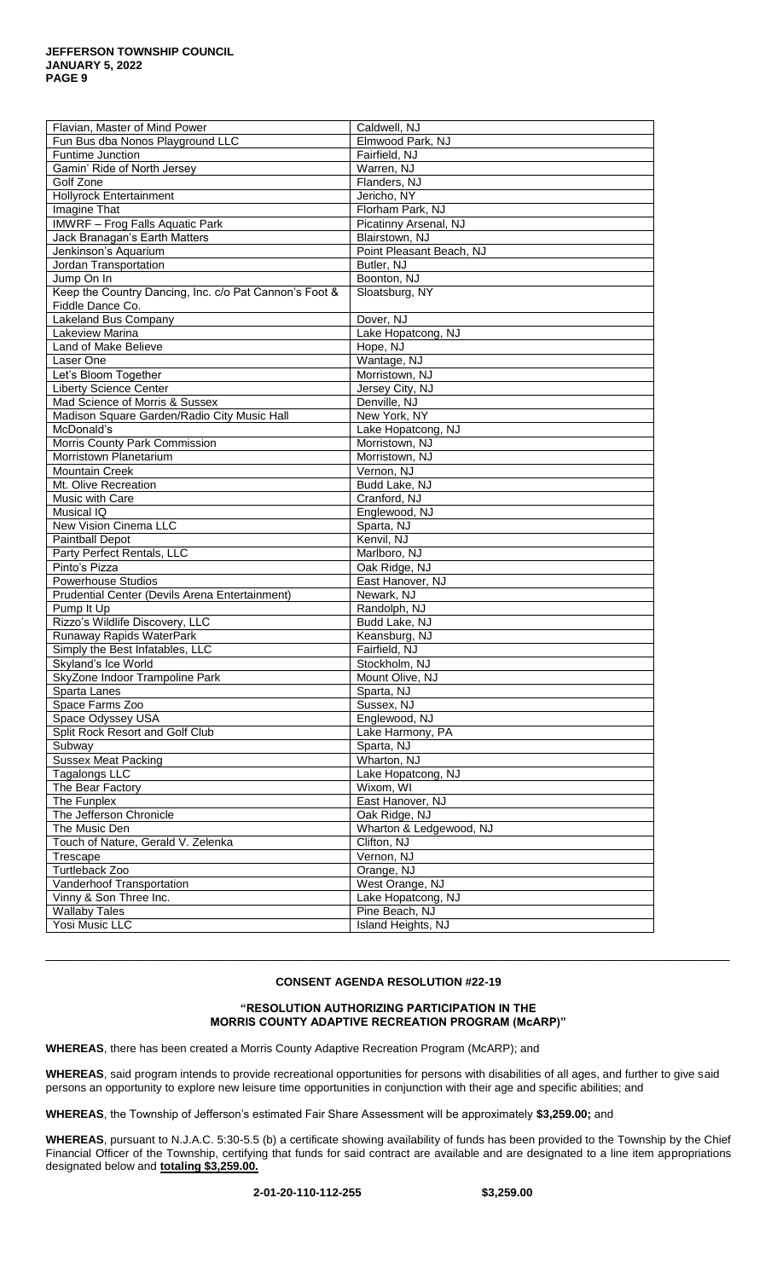| Flavian, Master of Mind Power                          | Caldwell, NJ             |
|--------------------------------------------------------|--------------------------|
| Fun Bus dba Nonos Playground LLC                       | Elmwood Park, NJ         |
| Funtime Junction                                       | Fairfield, NJ            |
| Gamin' Ride of North Jersey                            | Warren, NJ               |
| Golf Zone                                              | Flanders, NJ             |
| <b>Hollyrock Entertainment</b>                         | Jericho, NY              |
| Imagine That                                           | Florham Park, NJ         |
| <b>IMWRF</b> - Frog Falls Aquatic Park                 | Picatinny Arsenal, NJ    |
| Jack Branagan's Earth Matters                          | Blairstown, NJ           |
| Jenkinson's Aquarium                                   | Point Pleasant Beach, NJ |
| Jordan Transportation                                  | Butler, NJ               |
| Jump On In                                             | Boonton, NJ              |
| Keep the Country Dancing, Inc. c/o Pat Cannon's Foot & | Sloatsburg, NY           |
| Fiddle Dance Co.                                       |                          |
| Lakeland Bus Company                                   | Dover, NJ                |
| Lakeview Marina                                        | Lake Hopatcong, NJ       |
| Land of Make Believe                                   |                          |
|                                                        | Hope, NJ                 |
| Laser One                                              | Wantage, NJ              |
| Let's Bloom Together                                   | Morristown, NJ           |
| <b>Liberty Science Center</b>                          | Jersey City, NJ          |
| Mad Science of Morris & Sussex                         | Denville, NJ             |
| Madison Square Garden/Radio City Music Hall            | New York, NY             |
| McDonald's                                             | Lake Hopatcong, NJ       |
| Morris County Park Commission                          | Morristown, NJ           |
| Morristown Planetarium                                 | Morristown, NJ           |
| <b>Mountain Creek</b>                                  | Vernon, NJ               |
| Mt. Olive Recreation                                   | Budd Lake, NJ            |
| Music with Care                                        | Cranford, NJ             |
| Musical IQ                                             | Englewood, NJ            |
| New Vision Cinema LLC                                  | Sparta, NJ               |
| Paintball Depot                                        | Kenvil, NJ               |
| Party Perfect Rentals, LLC                             | Marlboro, NJ             |
| Pinto's Pizza                                          | Oak Ridge, NJ            |
| <b>Powerhouse Studios</b>                              | East Hanover, NJ         |
| Prudential Center (Devils Arena Entertainment)         | Newark, NJ               |
| Pump It Up                                             | Randolph, NJ             |
| Rizzo's Wildlife Discovery, LLC                        | Budd Lake, NJ            |
| Runaway Rapids WaterPark                               | Keansburg, NJ            |
| Simply the Best Infatables, LLC                        | Fairfield, NJ            |
| Skyland's Ice World                                    | Stockholm, NJ            |
| SkyZone Indoor Trampoline Park                         | Mount Olive, NJ          |
| Sparta Lanes                                           | Sparta, NJ               |
| Space Farms Zoo                                        | Sussex, NJ               |
| Space Odyssey USA                                      | Englewood, NJ            |
| Split Rock Resort and Golf Club                        | Lake Harmony, PA         |
| Subway                                                 | Sparta, NJ               |
| <b>Sussex Meat Packing</b>                             | Wharton, NJ              |
| <b>Tagalongs LLC</b>                                   | Lake Hopatcong, NJ       |
|                                                        | Wixom, WI                |
| The Bear Factory                                       |                          |
| The Funplex<br>The Jefferson Chronicle                 | East Hanover, NJ         |
|                                                        | Oak Ridge, NJ            |
| The Music Den                                          | Wharton & Ledgewood, NJ  |
| Touch of Nature, Gerald V. Zelenka                     | Clifton, NJ              |
| Trescape                                               | Vernon, NJ               |
| Turtleback Zoo                                         | Orange, NJ               |
| Vanderhoof Transportation                              | West Orange, NJ          |
| Vinny & Son Three Inc.                                 | Lake Hopatcong, NJ       |
| <b>Wallaby Tales</b>                                   | Pine Beach, NJ           |
| Yosi Music LLC                                         | Island Heights, NJ       |

\_\_\_\_\_\_\_\_\_\_\_\_\_\_\_\_\_\_\_\_\_\_\_\_\_\_\_\_\_\_\_\_\_\_\_\_\_\_\_\_\_\_\_\_\_\_\_\_\_\_\_\_\_\_\_\_\_\_\_\_\_\_\_\_\_\_\_\_\_\_\_\_\_\_\_\_\_\_\_\_\_\_\_\_\_\_\_\_\_\_\_\_\_\_\_\_\_

### **"RESOLUTION AUTHORIZING PARTICIPATION IN THE MORRIS COUNTY ADAPTIVE RECREATION PROGRAM (McARP)"**

**WHEREAS**, there has been created a Morris County Adaptive Recreation Program (McARP); and

**WHEREAS**, said program intends to provide recreational opportunities for persons with disabilities of all ages, and further to give said persons an opportunity to explore new leisure time opportunities in conjunction with their age and specific abilities; and

**WHEREAS**, the Township of Jefferson's estimated Fair Share Assessment will be approximately **\$3,259.00;** and

**WHEREAS**, pursuant to N.J.A.C. 5:30-5.5 (b) a certificate showing availability of funds has been provided to the Township by the Chief Financial Officer of the Township, certifying that funds for said contract are available and are designated to a line item appropriations designated below and **totaling \$3,259.00.**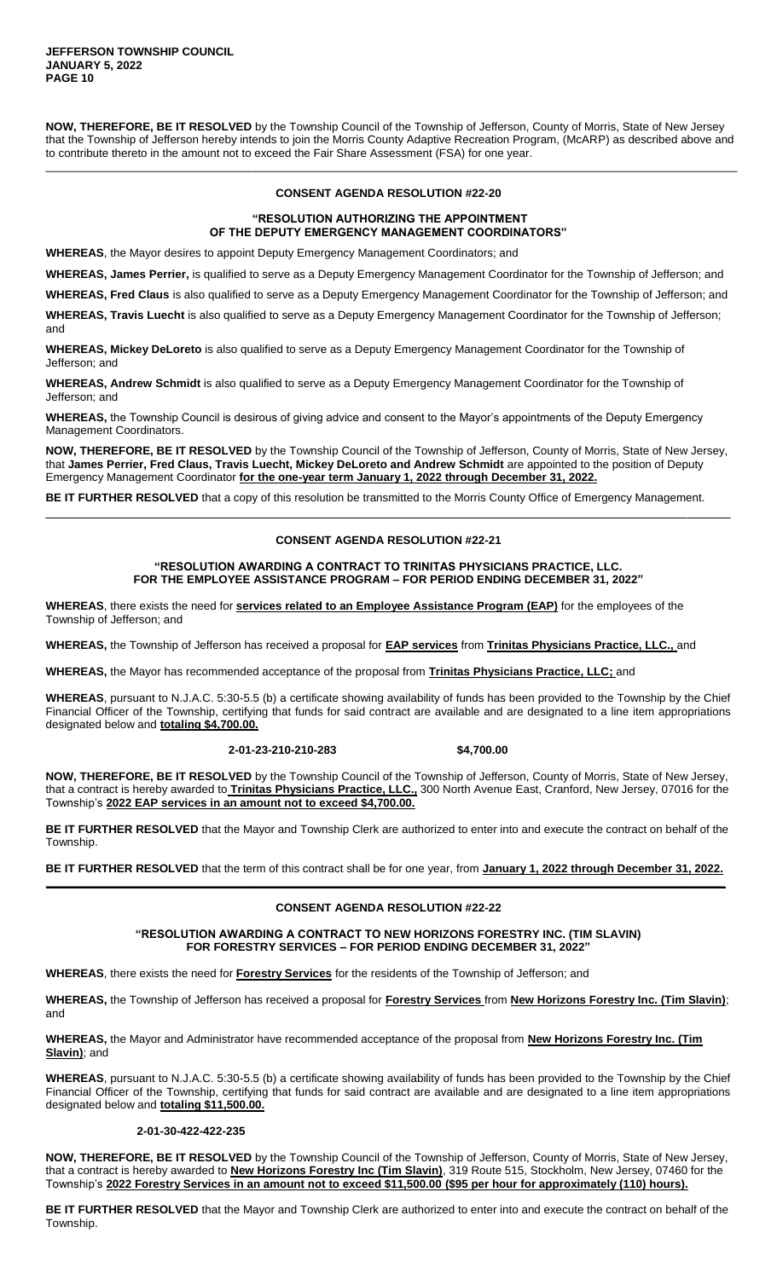**NOW, THEREFORE, BE IT RESOLVED** by the Township Council of the Township of Jefferson, County of Morris, State of New Jersey that the Township of Jefferson hereby intends to join the Morris County Adaptive Recreation Program, (McARP) as described above and to contribute thereto in the amount not to exceed the Fair Share Assessment (FSA) for one year.

\_\_\_\_\_\_\_\_\_\_\_\_\_\_\_\_\_\_\_\_\_\_\_\_\_\_\_\_\_\_\_\_\_\_\_\_\_\_\_\_\_\_\_\_\_\_\_\_\_\_\_\_\_\_\_\_\_\_\_\_\_\_\_\_\_\_\_\_\_\_\_\_\_\_\_\_\_\_\_\_\_\_\_\_\_\_\_\_\_\_\_\_\_\_\_\_\_\_\_\_\_\_\_\_\_\_\_\_\_

### **CONSENT AGENDA RESOLUTION #22-20**

### **"RESOLUTION AUTHORIZING THE APPOINTMENT OF THE DEPUTY EMERGENCY MANAGEMENT COORDINATORS"**

**WHEREAS**, the Mayor desires to appoint Deputy Emergency Management Coordinators; and

**WHEREAS, James Perrier,** is qualified to serve as a Deputy Emergency Management Coordinator for the Township of Jefferson; and

**WHEREAS, Fred Claus** is also qualified to serve as a Deputy Emergency Management Coordinator for the Township of Jefferson; and

**WHEREAS, Travis Luecht** is also qualified to serve as a Deputy Emergency Management Coordinator for the Township of Jefferson; and

**WHEREAS, Mickey DeLoreto** is also qualified to serve as a Deputy Emergency Management Coordinator for the Township of Jefferson; and

**WHEREAS, Andrew Schmidt** is also qualified to serve as a Deputy Emergency Management Coordinator for the Township of Jefferson; and

**WHEREAS,** the Township Council is desirous of giving advice and consent to the Mayor's appointments of the Deputy Emergency Management Coordinators.

**NOW, THEREFORE, BE IT RESOLVED** by the Township Council of the Township of Jefferson, County of Morris, State of New Jersey, that **James Perrier, Fred Claus, Travis Luecht, Mickey DeLoreto and Andrew Schmidt** are appointed to the position of Deputy Emergency Management Coordinator **for the one-year term January 1, 2022 through December 31, 2022.**

**BE IT FURTHER RESOLVED** that a copy of this resolution be transmitted to the Morris County Office of Emergency Management.

## **CONSENT AGENDA RESOLUTION #22-21**

\_\_\_\_\_\_\_\_\_\_\_\_\_\_\_\_\_\_\_\_\_\_\_\_\_\_\_\_\_\_\_\_\_\_\_\_\_\_\_\_\_\_\_\_\_\_\_\_\_\_\_\_\_\_\_\_\_\_\_\_\_\_\_\_\_\_\_\_\_\_\_\_\_\_\_\_\_\_\_\_\_\_\_\_\_\_\_\_\_\_\_\_\_\_\_\_\_

### **"RESOLUTION AWARDING A CONTRACT TO TRINITAS PHYSICIANS PRACTICE, LLC. FOR THE EMPLOYEE ASSISTANCE PROGRAM – FOR PERIOD ENDING DECEMBER 31, 2022"**

**WHEREAS**, there exists the need for **services related to an Employee Assistance Program (EAP)** for the employees of the Township of Jefferson; and

**WHEREAS,** the Township of Jefferson has received a proposal for **EAP services** from **Trinitas Physicians Practice, LLC.,** and

**WHEREAS,** the Mayor has recommended acceptance of the proposal from **Trinitas Physicians Practice, LLC;** and

**WHEREAS**, pursuant to N.J.A.C. 5:30-5.5 (b) a certificate showing availability of funds has been provided to the Township by the Chief Financial Officer of the Township, certifying that funds for said contract are available and are designated to a line item appropriations designated below and **totaling \$4,700.00.**

#### **2-01-23-210-210-283 \$4,700.00**

**NOW, THEREFORE, BE IT RESOLVED** by the Township Council of the Township of Jefferson, County of Morris, State of New Jersey, that a contract is hereby awarded to **Trinitas Physicians Practice, LLC.,** 300 North Avenue East, Cranford, New Jersey, 07016 for the Township's **2022 EAP services in an amount not to exceed \$4,700.00.**

**BE IT FURTHER RESOLVED** that the Mayor and Township Clerk are authorized to enter into and execute the contract on behalf of the Township.

**BE IT FURTHER RESOLVED** that the term of this contract shall be for one year, from **January 1, 2022 through December 31, 2022. \_\_\_\_\_\_\_\_\_\_\_\_\_\_\_\_\_\_\_\_\_\_\_\_\_\_\_\_\_\_\_\_\_\_\_\_\_\_\_\_\_\_\_\_\_\_\_\_\_\_\_\_\_\_\_\_\_\_\_\_\_\_\_\_\_\_\_\_\_\_\_\_\_\_\_\_\_\_\_\_\_\_\_\_\_\_\_\_\_\_\_\_\_\_\_\_\_\_\_\_\_\_\_\_\_\_\_**

# **CONSENT AGENDA RESOLUTION #22-22**

**"RESOLUTION AWARDING A CONTRACT TO NEW HORIZONS FORESTRY INC. (TIM SLAVIN) FOR FORESTRY SERVICES – FOR PERIOD ENDING DECEMBER 31, 2022"**

**WHEREAS**, there exists the need for **Forestry Services** for the residents of the Township of Jefferson; and

**WHEREAS,** the Township of Jefferson has received a proposal for **Forestry Services** from **New Horizons Forestry Inc. (Tim Slavin)**; and

**WHEREAS,** the Mayor and Administrator have recommended acceptance of the proposal from **New Horizons Forestry Inc. (Tim Slavin)**; and

**WHEREAS**, pursuant to N.J.A.C. 5:30-5.5 (b) a certificate showing availability of funds has been provided to the Township by the Chief Financial Officer of the Township, certifying that funds for said contract are available and are designated to a line item appropriations designated below and **totaling \$11,500.00.**

### **2-01-30-422-422-235**

**NOW, THEREFORE, BE IT RESOLVED** by the Township Council of the Township of Jefferson, County of Morris, State of New Jersey, that a contract is hereby awarded to **New Horizons Forestry Inc (Tim Slavin)**, 319 Route 515, Stockholm, New Jersey, 07460 for the Township's **2022 Forestry Services in an amount not to exceed \$11,500.00 (\$95 per hour for approximately (110) hours).**

**BE IT FURTHER RESOLVED** that the Mayor and Township Clerk are authorized to enter into and execute the contract on behalf of the Township.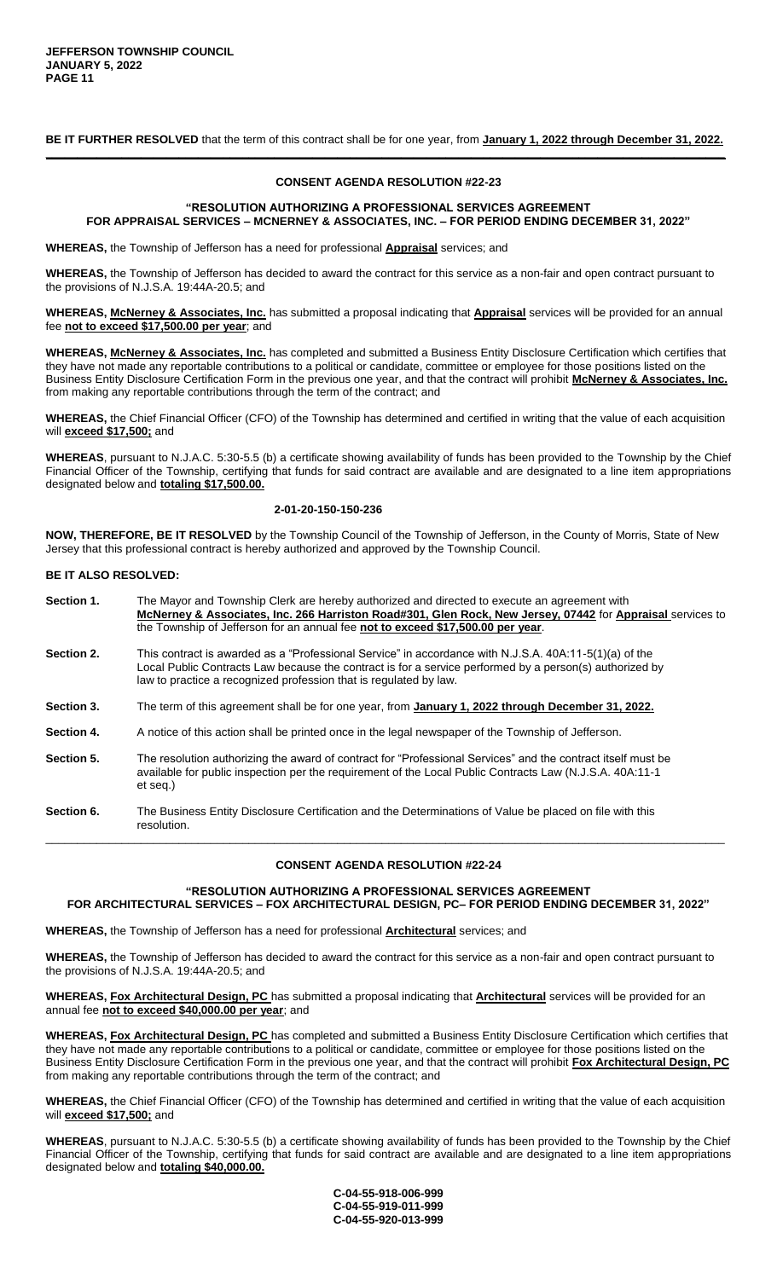**BE IT FURTHER RESOLVED** that the term of this contract shall be for one year, from **January 1, 2022 through December 31, 2022. \_\_\_\_\_\_\_\_\_\_\_\_\_\_\_\_\_\_\_\_\_\_\_\_\_\_\_\_\_\_\_\_\_\_\_\_\_\_\_\_\_\_\_\_\_\_\_\_\_\_\_\_\_\_\_\_\_\_\_\_\_\_\_\_\_\_\_\_\_\_\_\_\_\_\_\_\_\_\_\_\_\_\_\_\_\_\_\_\_\_\_\_\_\_\_\_\_\_\_\_\_\_\_\_\_\_\_**

### **CONSENT AGENDA RESOLUTION #22-23**

### **"RESOLUTION AUTHORIZING A PROFESSIONAL SERVICES AGREEMENT FOR APPRAISAL SERVICES – MCNERNEY & ASSOCIATES, INC. – FOR PERIOD ENDING DECEMBER 31, 2022"**

**WHEREAS,** the Township of Jefferson has a need for professional **Appraisal** services; and

**WHEREAS,** the Township of Jefferson has decided to award the contract for this service as a non-fair and open contract pursuant to the provisions of N.J.S.A. 19:44A-20.5; and

**WHEREAS, McNerney & Associates, Inc.** has submitted a proposal indicating that **Appraisal** services will be provided for an annual fee **not to exceed \$17,500.00 per year**; and

**WHEREAS, McNerney & Associates, Inc.** has completed and submitted a Business Entity Disclosure Certification which certifies that they have not made any reportable contributions to a political or candidate, committee or employee for those positions listed on the Business Entity Disclosure Certification Form in the previous one year, and that the contract will prohibit **McNerney & Associates, Inc.**  from making any reportable contributions through the term of the contract; and

**WHEREAS,** the Chief Financial Officer (CFO) of the Township has determined and certified in writing that the value of each acquisition will **exceed \$17,500;** and

**WHEREAS**, pursuant to N.J.A.C. 5:30-5.5 (b) a certificate showing availability of funds has been provided to the Township by the Chief Financial Officer of the Township, certifying that funds for said contract are available and are designated to a line item appropriations designated below and **totaling \$17,500.00.**

### **2-01-20-150-150-236**

**NOW, THEREFORE, BE IT RESOLVED** by the Township Council of the Township of Jefferson, in the County of Morris, State of New Jersey that this professional contract is hereby authorized and approved by the Township Council.

#### **BE IT ALSO RESOLVED:**

**Section 1.** The Mayor and Township Clerk are hereby authorized and directed to execute an agreement with **McNerney & Associates, Inc. 266 Harriston Road#301, Glen Rock, New Jersey, 07442** for **Appraisal** services to the Township of Jefferson for an annual fee **not to exceed \$17,500.00 per year**. **Section 2.** This contract is awarded as a "Professional Service" in accordance with N.J.S.A. 40A:11-5(1)(a) of the Local Public Contracts Law because the contract is for a service performed by a person(s) authorized by law to practice a recognized profession that is regulated by law. **Section 3.** The term of this agreement shall be for one year, from **January 1, 2022 through December 31, 2022. Section 4.** A notice of this action shall be printed once in the legal newspaper of the Township of Jefferson. **Section 5.** The resolution authorizing the award of contract for "Professional Services" and the contract itself must be available for public inspection per the requirement of the Local Public Contracts Law (N.J.S.A. 40A:11-1 et seq.)

**Section 6.** The Business Entity Disclosure Certification and the Determinations of Value be placed on file with this resolution. \_\_\_\_\_\_\_\_\_\_\_\_\_\_\_\_\_\_\_\_\_\_\_\_\_\_\_\_\_\_\_\_\_\_\_\_\_\_\_\_\_\_\_\_\_\_\_\_\_\_\_\_\_\_\_\_\_\_\_\_\_\_\_\_\_\_\_\_\_\_\_\_\_\_\_\_\_\_\_\_\_\_\_\_\_\_\_\_\_\_\_\_\_\_\_\_\_\_\_\_\_\_\_\_\_\_\_

# **CONSENT AGENDA RESOLUTION #22-24**

**"RESOLUTION AUTHORIZING A PROFESSIONAL SERVICES AGREEMENT FOR ARCHITECTURAL SERVICES – FOX ARCHITECTURAL DESIGN, PC– FOR PERIOD ENDING DECEMBER 31, 2022"**

**WHEREAS,** the Township of Jefferson has a need for professional **Architectural** services; and

**WHEREAS,** the Township of Jefferson has decided to award the contract for this service as a non-fair and open contract pursuant to the provisions of N.J.S.A. 19:44A-20.5; and

**WHEREAS, Fox Architectural Design, PC** has submitted a proposal indicating that **Architectural** services will be provided for an annual fee **not to exceed \$40,000.00 per year**; and

**WHEREAS, Fox Architectural Design, PC** has completed and submitted a Business Entity Disclosure Certification which certifies that they have not made any reportable contributions to a political or candidate, committee or employee for those positions listed on the Business Entity Disclosure Certification Form in the previous one year, and that the contract will prohibit **Fox Architectural Design, PC**  from making any reportable contributions through the term of the contract; and

**WHEREAS,** the Chief Financial Officer (CFO) of the Township has determined and certified in writing that the value of each acquisition will **exceed \$17,500;** and

**WHEREAS**, pursuant to N.J.A.C. 5:30-5.5 (b) a certificate showing availability of funds has been provided to the Township by the Chief Financial Officer of the Township, certifying that funds for said contract are available and are designated to a line item appropriations designated below and **totaling \$40,000.00.**

> **C-04-55-918-006-999 C-04-55-919-011-999 C-04-55-920-013-999**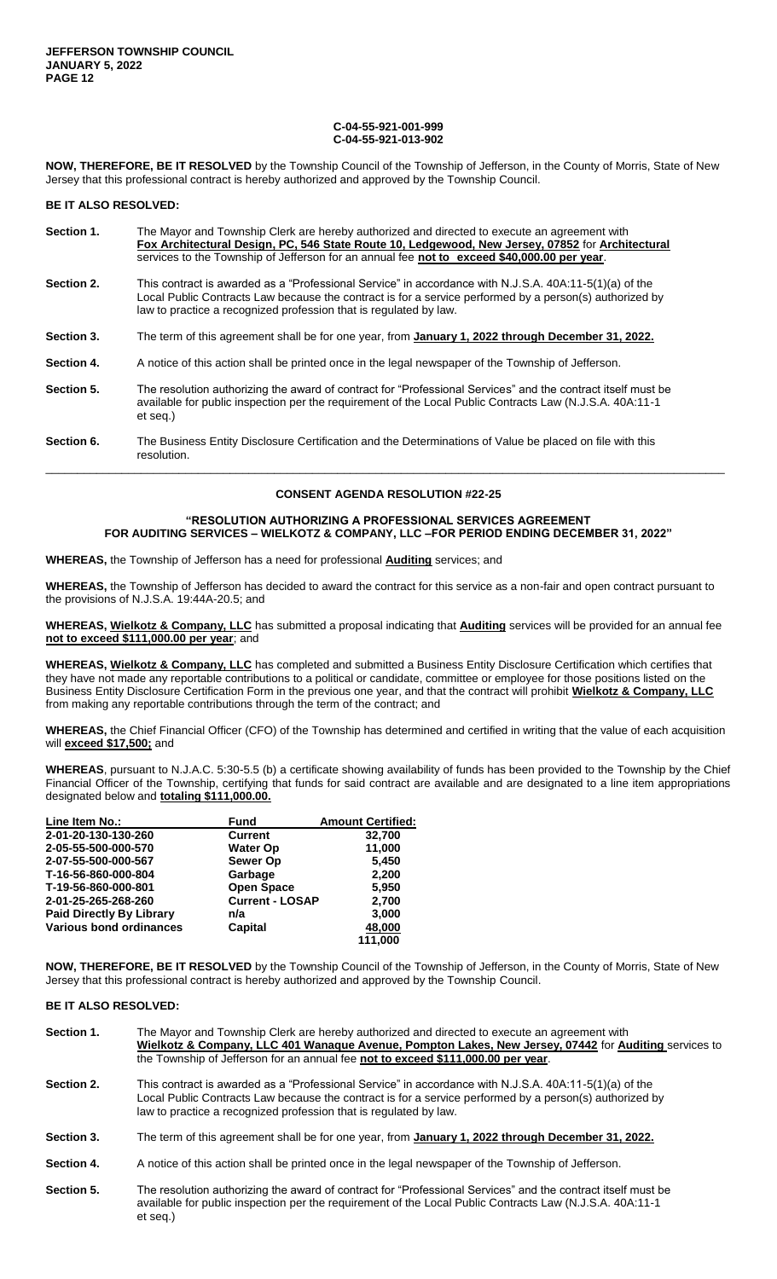#### **C-04-55-921-001-999 C-04-55-921-013-902**

**NOW, THEREFORE, BE IT RESOLVED** by the Township Council of the Township of Jefferson, in the County of Morris, State of New Jersey that this professional contract is hereby authorized and approved by the Township Council.

#### **BE IT ALSO RESOLVED:**

| Section 1. | The Mayor and Township Clerk are hereby authorized and directed to execute an agreement with<br>Fox Architectural Design, PC, 546 State Route 10, Ledgewood, New Jersey, 07852 for Architectural<br>services to the Township of Jefferson for an annual fee not to exceed \$40,000.00 per year. |
|------------|-------------------------------------------------------------------------------------------------------------------------------------------------------------------------------------------------------------------------------------------------------------------------------------------------|
| Section 2. | This contract is awarded as a "Professional Service" in accordance with N.J.S.A. 40A:11-5(1)(a) of the<br>Local Public Contracts Law because the contract is for a service performed by a person(s) authorized by<br>law to practice a recognized profession that is regulated by law.          |
| Section 3. | The term of this agreement shall be for one year, from January 1, 2022 through December 31, 2022.                                                                                                                                                                                               |
| Section 4. | A notice of this action shall be printed once in the legal newspaper of the Township of Jefferson.                                                                                                                                                                                              |
| Section 5. | The resolution authorizing the award of contract for "Professional Services" and the contract itself must be<br>available for public inspection per the requirement of the Local Public Contracts Law (N.J.S.A. 40A:11-1<br>et seg.)                                                            |
| Section 6. | The Business Entity Disclosure Certification and the Determinations of Value be placed on file with this<br>resolution.                                                                                                                                                                         |

### **CONSENT AGENDA RESOLUTION #22-25**

\_\_\_\_\_\_\_\_\_\_\_\_\_\_\_\_\_\_\_\_\_\_\_\_\_\_\_\_\_\_\_\_\_\_\_\_\_\_\_\_\_\_\_\_\_\_\_\_\_\_\_\_\_\_\_\_\_\_\_\_\_\_\_\_\_\_\_\_\_\_\_\_\_\_\_\_\_\_\_\_\_\_\_\_\_\_\_\_\_\_\_\_\_\_\_\_\_\_\_\_\_\_\_\_\_\_\_

### **"RESOLUTION AUTHORIZING A PROFESSIONAL SERVICES AGREEMENT FOR AUDITING SERVICES – WIELKOTZ & COMPANY, LLC –FOR PERIOD ENDING DECEMBER 31, 2022"**

**WHEREAS,** the Township of Jefferson has a need for professional **Auditing** services; and

**WHEREAS,** the Township of Jefferson has decided to award the contract for this service as a non-fair and open contract pursuant to the provisions of N.J.S.A. 19:44A-20.5; and

**WHEREAS, Wielkotz & Company, LLC** has submitted a proposal indicating that **Auditing** services will be provided for an annual fee **not to exceed \$111,000.00 per year**; and

**WHEREAS, Wielkotz & Company, LLC** has completed and submitted a Business Entity Disclosure Certification which certifies that they have not made any reportable contributions to a political or candidate, committee or employee for those positions listed on the Business Entity Disclosure Certification Form in the previous one year, and that the contract will prohibit **Wielkotz & Company, LLC**  from making any reportable contributions through the term of the contract; and

**WHEREAS,** the Chief Financial Officer (CFO) of the Township has determined and certified in writing that the value of each acquisition will **exceed \$17,500;** and

**WHEREAS**, pursuant to N.J.A.C. 5:30-5.5 (b) a certificate showing availability of funds has been provided to the Township by the Chief Financial Officer of the Township, certifying that funds for said contract are available and are designated to a line item appropriations designated below and **totaling \$111,000.00.**

| Line Item No.:                  | <b>Fund</b>            | <b>Amount Certified:</b> |
|---------------------------------|------------------------|--------------------------|
| 2-01-20-130-130-260             | <b>Current</b>         | 32,700                   |
| 2-05-55-500-000-570             | <b>Water Op</b>        | 11,000                   |
| 2-07-55-500-000-567             | <b>Sewer Op</b>        | 5,450                    |
| T-16-56-860-000-804             | Garbage                | 2,200                    |
| T-19-56-860-000-801             | <b>Open Space</b>      | 5,950                    |
| 2-01-25-265-268-260             | <b>Current - LOSAP</b> | 2,700                    |
| <b>Paid Directly By Library</b> | n/a                    | 3,000                    |
| Various bond ordinances         | Capital                | 48,000                   |
|                                 |                        | 111.000                  |

**NOW, THEREFORE, BE IT RESOLVED** by the Township Council of the Township of Jefferson, in the County of Morris, State of New Jersey that this professional contract is hereby authorized and approved by the Township Council.

#### **BE IT ALSO RESOLVED:**

- **Section 1.** The Mayor and Township Clerk are hereby authorized and directed to execute an agreement with **Wielkotz & Company, LLC 401 Wanaque Avenue, Pompton Lakes, New Jersey, 07442** for **Auditing** services to the Township of Jefferson for an annual fee **not to exceed \$111,000.00 per year**.
- **Section 2.** This contract is awarded as a "Professional Service" in accordance with N.J.S.A. 40A:11-5(1)(a) of the Local Public Contracts Law because the contract is for a service performed by a person(s) authorized by law to practice a recognized profession that is regulated by law.
- **Section 3.** The term of this agreement shall be for one year, from **January 1, 2022 through December 31, 2022.**
- Section 4. A notice of this action shall be printed once in the legal newspaper of the Township of Jefferson.
- **Section 5.** The resolution authorizing the award of contract for "Professional Services" and the contract itself must be available for public inspection per the requirement of the Local Public Contracts Law (N.J.S.A. 40A:11-1 et seq.)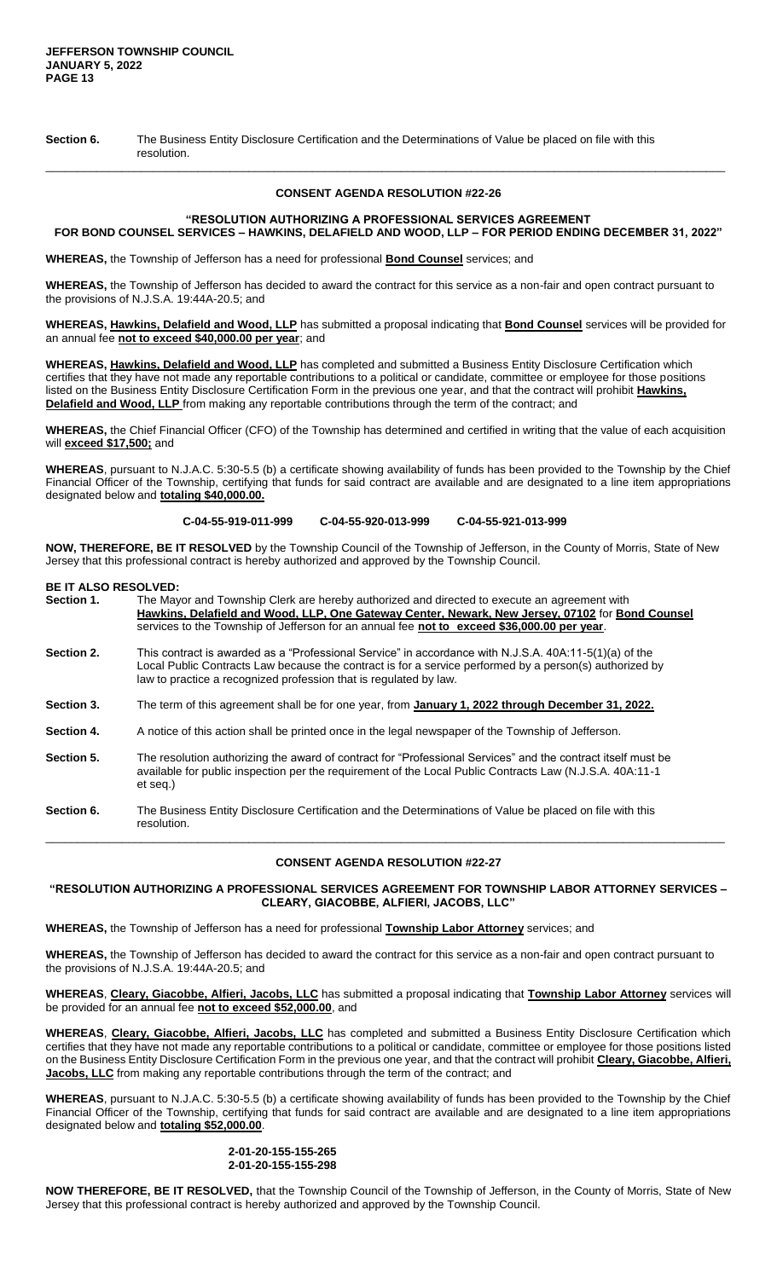**Section 6.** The Business Entity Disclosure Certification and the Determinations of Value be placed on file with this resolution.

#### **CONSENT AGENDA RESOLUTION #22-26**

\_\_\_\_\_\_\_\_\_\_\_\_\_\_\_\_\_\_\_\_\_\_\_\_\_\_\_\_\_\_\_\_\_\_\_\_\_\_\_\_\_\_\_\_\_\_\_\_\_\_\_\_\_\_\_\_\_\_\_\_\_\_\_\_\_\_\_\_\_\_\_\_\_\_\_\_\_\_\_\_\_\_\_\_\_\_\_\_\_\_\_\_\_\_\_\_\_\_\_\_\_\_\_\_\_\_\_

### **"RESOLUTION AUTHORIZING A PROFESSIONAL SERVICES AGREEMENT FOR BOND COUNSEL SERVICES – HAWKINS, DELAFIELD AND WOOD, LLP – FOR PERIOD ENDING DECEMBER 31, 2022"**

**WHEREAS,** the Township of Jefferson has a need for professional **Bond Counsel** services; and

**WHEREAS,** the Township of Jefferson has decided to award the contract for this service as a non-fair and open contract pursuant to the provisions of N.J.S.A. 19:44A-20.5; and

**WHEREAS, Hawkins, Delafield and Wood, LLP** has submitted a proposal indicating that **Bond Counsel** services will be provided for an annual fee **not to exceed \$40,000.00 per year**; and

**WHEREAS, Hawkins, Delafield and Wood, LLP** has completed and submitted a Business Entity Disclosure Certification which certifies that they have not made any reportable contributions to a political or candidate, committee or employee for those positions listed on the Business Entity Disclosure Certification Form in the previous one year, and that the contract will prohibit **Hawkins, Delafield and Wood, LLP** from making any reportable contributions through the term of the contract; and

**WHEREAS,** the Chief Financial Officer (CFO) of the Township has determined and certified in writing that the value of each acquisition will **exceed \$17,500;** and

**WHEREAS**, pursuant to N.J.A.C. 5:30-5.5 (b) a certificate showing availability of funds has been provided to the Township by the Chief Financial Officer of the Township, certifying that funds for said contract are available and are designated to a line item appropriations designated below and **totaling \$40,000.00.**

**C-04-55-919-011-999 C-04-55-920-013-999 C-04-55-921-013-999**

**NOW, THEREFORE, BE IT RESOLVED** by the Township Council of the Township of Jefferson, in the County of Morris, State of New Jersey that this professional contract is hereby authorized and approved by the Township Council.

## **BE IT ALSO RESOLVED:**

| Section 1. | The Mayor and Township Clerk are hereby authorized and directed to execute an agreement with<br>Hawkins, Delafield and Wood, LLP, One Gateway Center, Newark, New Jersey, 07102 for Bond Counsel<br>services to the Township of Jefferson for an annual fee not to exceed \$36,000.00 per year. |
|------------|-------------------------------------------------------------------------------------------------------------------------------------------------------------------------------------------------------------------------------------------------------------------------------------------------|
| Section 2. | This contract is awarded as a "Professional Service" in accordance with N.J.S.A. 40A:11-5(1)(a) of the<br>Local Public Contracts Law because the contract is for a service performed by a person(s) authorized by<br>law to practice a recognized profession that is regulated by law.          |
| Section 3. | The term of this agreement shall be for one year, from January 1, 2022 through December 31, 2022.                                                                                                                                                                                               |
| Section 4. | A notice of this action shall be printed once in the legal newspaper of the Township of Jefferson.                                                                                                                                                                                              |
| Section 5. | The resolution authorizing the award of contract for "Professional Services" and the contract itself must be<br>available for public inspection per the requirement of the Local Public Contracts Law (N.J.S.A. 40A:11-1<br>et seq.)                                                            |
| Section 6. | The Business Entity Disclosure Certification and the Determinations of Value be placed on file with this                                                                                                                                                                                        |

resolution. \_\_\_\_\_\_\_\_\_\_\_\_\_\_\_\_\_\_\_\_\_\_\_\_\_\_\_\_\_\_\_\_\_\_\_\_\_\_\_\_\_\_\_\_\_\_\_\_\_\_\_\_\_\_\_\_\_\_\_\_\_\_\_\_\_\_\_\_\_\_\_\_\_\_\_\_\_\_\_\_\_\_\_\_\_\_\_\_\_\_\_\_\_\_\_\_\_\_\_\_\_\_\_\_\_\_\_

# **CONSENT AGENDA RESOLUTION #22-27**

**"RESOLUTION AUTHORIZING A PROFESSIONAL SERVICES AGREEMENT FOR TOWNSHIP LABOR ATTORNEY SERVICES – CLEARY, GIACOBBE, ALFIERI, JACOBS, LLC"**

**WHEREAS,** the Township of Jefferson has a need for professional **Township Labor Attorney** services; and

**WHEREAS,** the Township of Jefferson has decided to award the contract for this service as a non-fair and open contract pursuant to the provisions of N.J.S.A. 19:44A-20.5; and

**WHEREAS**, **Cleary, Giacobbe, Alfieri, Jacobs, LLC** has submitted a proposal indicating that **Township Labor Attorney** services will be provided for an annual fee **not to exceed \$52,000.00**, and

**WHEREAS**, **Cleary, Giacobbe, Alfieri, Jacobs, LLC** has completed and submitted a Business Entity Disclosure Certification which certifies that they have not made any reportable contributions to a political or candidate, committee or employee for those positions listed on the Business Entity Disclosure Certification Form in the previous one year, and that the contract will prohibit **Cleary, Giacobbe, Alfieri, Jacobs, LLC** from making any reportable contributions through the term of the contract; and

**WHEREAS**, pursuant to N.J.A.C. 5:30-5.5 (b) a certificate showing availability of funds has been provided to the Township by the Chief Financial Officer of the Township, certifying that funds for said contract are available and are designated to a line item appropriations designated below and **totaling \$52,000.00**.

## **2-01-20-155-155-265 2-01-20-155-155-298**

**NOW THEREFORE, BE IT RESOLVED,** that the Township Council of the Township of Jefferson, in the County of Morris, State of New Jersey that this professional contract is hereby authorized and approved by the Township Council.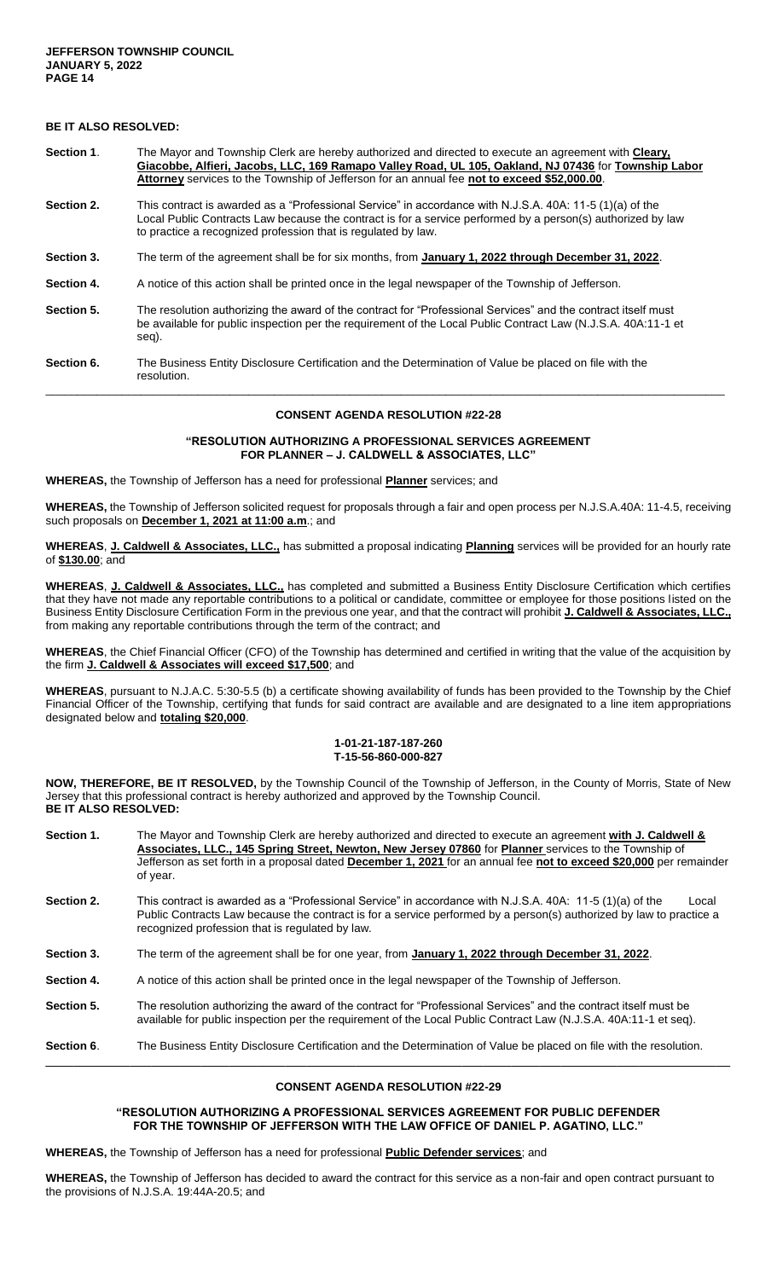# **BE IT ALSO RESOLVED:**

- **Section 1**. The Mayor and Township Clerk are hereby authorized and directed to execute an agreement with **Cleary, Giacobbe, Alfieri, Jacobs, LLC, 169 Ramapo Valley Road, UL 105, Oakland, NJ 07436** for **Township Labor Attorney** services to the Township of Jefferson for an annual fee **not to exceed \$52,000.00**.
- **Section 2.** This contract is awarded as a "Professional Service" in accordance with N.J.S.A. 40A: 11-5 (1)(a) of the Local Public Contracts Law because the contract is for a service performed by a person(s) authorized by law to practice a recognized profession that is regulated by law.
- **Section 3.** The term of the agreement shall be for six months, from **January 1, 2022 through December 31, 2022**.
- **Section 4.** A notice of this action shall be printed once in the legal newspaper of the Township of Jefferson.
- **Section 5.** The resolution authorizing the award of the contract for "Professional Services" and the contract itself must be available for public inspection per the requirement of the Local Public Contract Law (N.J.S.A. 40A:11-1 et seg).
- **Section 6.** The Business Entity Disclosure Certification and the Determination of Value be placed on file with the resolution. \_\_\_\_\_\_\_\_\_\_\_\_\_\_\_\_\_\_\_\_\_\_\_\_\_\_\_\_\_\_\_\_\_\_\_\_\_\_\_\_\_\_\_\_\_\_\_\_\_\_\_\_\_\_\_\_\_\_\_\_\_\_\_\_\_\_\_\_\_\_\_\_\_\_\_\_\_\_\_\_\_\_\_\_\_\_\_\_\_\_\_\_\_\_\_\_\_\_\_\_\_\_\_\_\_\_\_

#### **CONSENT AGENDA RESOLUTION #22-28**

#### **"RESOLUTION AUTHORIZING A PROFESSIONAL SERVICES AGREEMENT FOR PLANNER – J. CALDWELL & ASSOCIATES, LLC"**

**WHEREAS,** the Township of Jefferson has a need for professional **Planner** services; and

**WHEREAS,** the Township of Jefferson solicited request for proposals through a fair and open process per N.J.S.A.40A: 11-4.5, receiving such proposals on **December 1, 2021 at 11:00 a.m**.; and

**WHEREAS**, **J. Caldwell & Associates, LLC.,** has submitted a proposal indicating **Planning** services will be provided for an hourly rate of **\$130.00**; and

**WHEREAS**, **J. Caldwell & Associates, LLC.,** has completed and submitted a Business Entity Disclosure Certification which certifies that they have not made any reportable contributions to a political or candidate, committee or employee for those positions listed on the Business Entity Disclosure Certification Form in the previous one year, and that the contract will prohibit **J. Caldwell & Associates, LLC.,**  from making any reportable contributions through the term of the contract; and

**WHEREAS**, the Chief Financial Officer (CFO) of the Township has determined and certified in writing that the value of the acquisition by the firm **J. Caldwell & Associates will exceed \$17,500**; and

**WHEREAS**, pursuant to N.J.A.C. 5:30-5.5 (b) a certificate showing availability of funds has been provided to the Township by the Chief Financial Officer of the Township, certifying that funds for said contract are available and are designated to a line item appropriations designated below and **totaling \$20,000**.

#### **1-01-21-187-187-260 T-15-56-860-000-827**

**NOW, THEREFORE, BE IT RESOLVED,** by the Township Council of the Township of Jefferson, in the County of Morris, State of New Jersey that this professional contract is hereby authorized and approved by the Township Council. **BE IT ALSO RESOLVED:**

| Section 1.        | The Mayor and Township Clerk are hereby authorized and directed to execute an agreement with J. Caldwell &<br>Associates, LLC., 145 Spring Street, Newton, New Jersey 07860 for Planner services to the Township of<br>Jefferson as set forth in a proposal dated <b>December 1, 2021</b> for an annual fee not to exceed \$20,000 per remainder<br>of year. |
|-------------------|--------------------------------------------------------------------------------------------------------------------------------------------------------------------------------------------------------------------------------------------------------------------------------------------------------------------------------------------------------------|
| <b>Section 2.</b> | This contract is awarded as a "Professional Service" in accordance with N.J.S.A. 40A: 11-5 (1)(a) of the<br>Local<br>Public Contracts Law because the contract is for a service performed by a person(s) authorized by law to practice a<br>recognized profession that is regulated by law.                                                                  |
| <b>Section 3.</b> | The term of the agreement shall be for one year, from January 1, 2022 through December 31, 2022.                                                                                                                                                                                                                                                             |
| <b>Section 4.</b> | A notice of this action shall be printed once in the legal newspaper of the Township of Jefferson.                                                                                                                                                                                                                                                           |
| <b>Section 5.</b> | The resolution authorizing the award of the contract for "Professional Services" and the contract itself must be<br>available for public inspection per the requirement of the Local Public Contract Law (N.J.S.A. 40A:11-1 et seq).                                                                                                                         |
| Section 6.        | The Business Entity Disclosure Certification and the Determination of Value be placed on file with the resolution.                                                                                                                                                                                                                                           |

### **CONSENT AGENDA RESOLUTION #22-29**

### **"RESOLUTION AUTHORIZING A PROFESSIONAL SERVICES AGREEMENT FOR PUBLIC DEFENDER FOR THE TOWNSHIP OF JEFFERSON WITH THE LAW OFFICE OF DANIEL P. AGATINO, LLC."**

**WHEREAS,** the Township of Jefferson has a need for professional **Public Defender services**; and

**WHEREAS,** the Township of Jefferson has decided to award the contract for this service as a non-fair and open contract pursuant to the provisions of N.J.S.A. 19:44A-20.5; and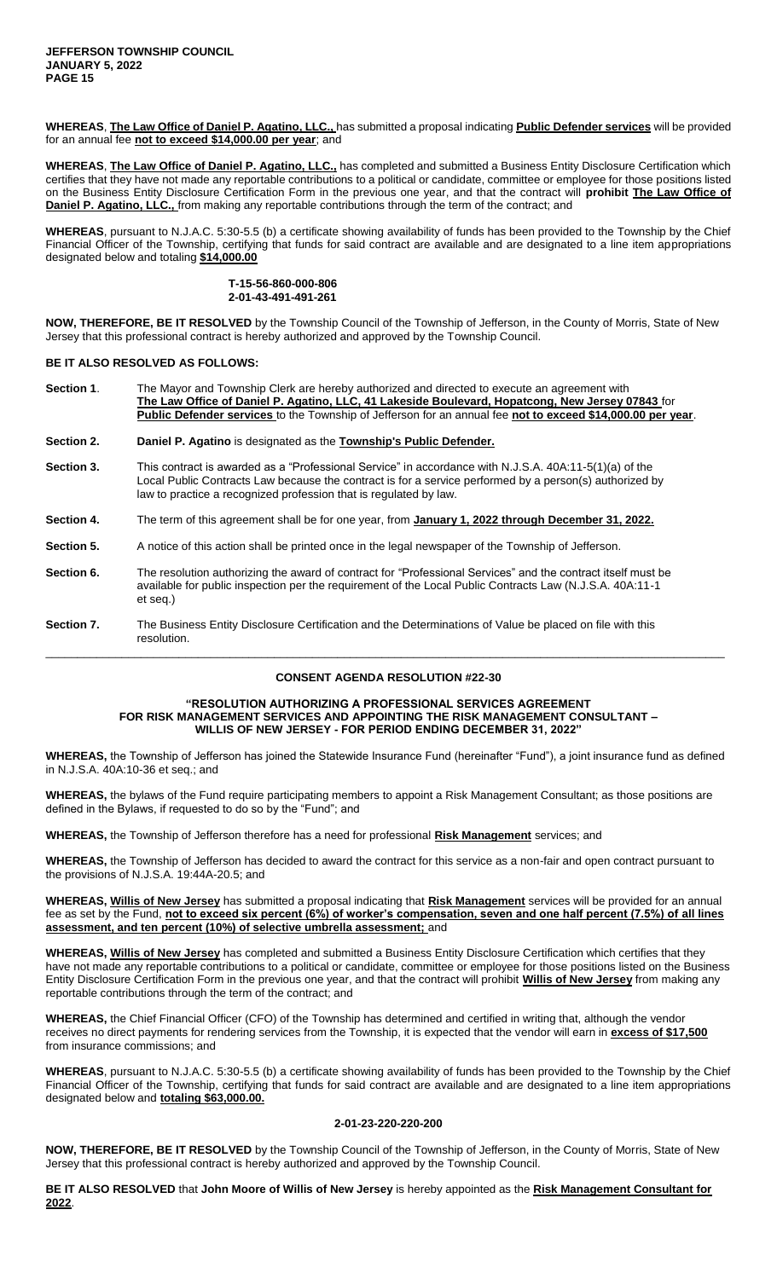**WHEREAS**, **The Law Office of Daniel P. Agatino, LLC.,** has submitted a proposal indicating **Public Defender services** will be provided for an annual fee **not to exceed \$14,000.00 per year**; and

**WHEREAS**, **The Law Office of Daniel P. Agatino, LLC.,** has completed and submitted a Business Entity Disclosure Certification which certifies that they have not made any reportable contributions to a political or candidate, committee or employee for those positions listed on the Business Entity Disclosure Certification Form in the previous one year, and that the contract will **prohibit The Law Office of Daniel P. Agatino, LLC.,** from making any reportable contributions through the term of the contract; and

**WHEREAS**, pursuant to N.J.A.C. 5:30-5.5 (b) a certificate showing availability of funds has been provided to the Township by the Chief Financial Officer of the Township, certifying that funds for said contract are available and are designated to a line item appropriations designated below and totaling **\$14,000.00**

> **T-15-56-860-000-806 2-01-43-491-491-261**

**NOW, THEREFORE, BE IT RESOLVED** by the Township Council of the Township of Jefferson, in the County of Morris, State of New Jersey that this professional contract is hereby authorized and approved by the Township Council.

### **BE IT ALSO RESOLVED AS FOLLOWS:**

| Section 1. | The Mayor and Township Clerk are hereby authorized and directed to execute an agreement with<br>The Law Office of Daniel P. Agatino, LLC, 41 Lakeside Boulevard, Hopatcong, New Jersey 07843 for<br>Public Defender services to the Township of Jefferson for an annual fee not to exceed \$14,000.00 per year. |
|------------|-----------------------------------------------------------------------------------------------------------------------------------------------------------------------------------------------------------------------------------------------------------------------------------------------------------------|
| Section 2. | Daniel P. Agatino is designated as the Township's Public Defender.                                                                                                                                                                                                                                              |
| Section 3. | This contract is awarded as a "Professional Service" in accordance with N.J.S.A. 40A:11-5(1)(a) of the<br>Local Public Contracts Law because the contract is for a service performed by a person(s) authorized by<br>law to practice a recognized profession that is regulated by law.                          |
| Section 4. | The term of this agreement shall be for one year, from January 1, 2022 through December 31, 2022.                                                                                                                                                                                                               |
| Section 5. | A notice of this action shall be printed once in the legal newspaper of the Township of Jefferson.                                                                                                                                                                                                              |
| Section 6. | The resolution authorizing the award of contract for "Professional Services" and the contract itself must be<br>available for public inspection per the requirement of the Local Public Contracts Law (N.J.S.A. 40A:11-1<br>et seg.)                                                                            |
| Section 7. | The Business Entity Disclosure Certification and the Determinations of Value be placed on file with this<br>resolution.                                                                                                                                                                                         |

# \_\_\_\_\_\_\_\_\_\_\_\_\_\_\_\_\_\_\_\_\_\_\_\_\_\_\_\_\_\_\_\_\_\_\_\_\_\_\_\_\_\_\_\_\_\_\_\_\_\_\_\_\_\_\_\_\_\_\_\_\_\_\_\_\_\_\_\_\_\_\_\_\_\_\_\_\_\_\_\_\_\_\_\_\_\_\_\_\_\_\_\_\_\_\_\_\_\_\_\_\_\_\_\_\_\_\_ **CONSENT AGENDA RESOLUTION #22-30**

#### **"RESOLUTION AUTHORIZING A PROFESSIONAL SERVICES AGREEMENT FOR RISK MANAGEMENT SERVICES AND APPOINTING THE RISK MANAGEMENT CONSULTANT – WILLIS OF NEW JERSEY - FOR PERIOD ENDING DECEMBER 31, 2022"**

**WHEREAS,** the Township of Jefferson has joined the Statewide Insurance Fund (hereinafter "Fund"), a joint insurance fund as defined in N.J.S.A. 40A:10-36 et seq.; and

**WHEREAS,** the bylaws of the Fund require participating members to appoint a Risk Management Consultant; as those positions are defined in the Bylaws, if requested to do so by the "Fund"; and

**WHEREAS,** the Township of Jefferson therefore has a need for professional **Risk Management** services; and

**WHEREAS,** the Township of Jefferson has decided to award the contract for this service as a non-fair and open contract pursuant to the provisions of N.J.S.A. 19:44A-20.5; and

**WHEREAS, Willis of New Jersey** has submitted a proposal indicating that **Risk Management** services will be provided for an annual fee as set by the Fund, **not to exceed six percent (6%) of worker's compensation, seven and one half percent (7.5%) of all lines assessment, and ten percent (10%) of selective umbrella assessment;** and

**WHEREAS, Willis of New Jersey** has completed and submitted a Business Entity Disclosure Certification which certifies that they have not made any reportable contributions to a political or candidate, committee or employee for those positions listed on the Business Entity Disclosure Certification Form in the previous one year, and that the contract will prohibit **Willis of New Jersey** from making any reportable contributions through the term of the contract; and

**WHEREAS,** the Chief Financial Officer (CFO) of the Township has determined and certified in writing that, although the vendor receives no direct payments for rendering services from the Township, it is expected that the vendor will earn in **excess of \$17,500** from insurance commissions; and

**WHEREAS**, pursuant to N.J.A.C. 5:30-5.5 (b) a certificate showing availability of funds has been provided to the Township by the Chief Financial Officer of the Township, certifying that funds for said contract are available and are designated to a line item appropriations designated below and **totaling \$63,000.00.**

#### **2-01-23-220-220-200**

**NOW, THEREFORE, BE IT RESOLVED** by the Township Council of the Township of Jefferson, in the County of Morris, State of New Jersey that this professional contract is hereby authorized and approved by the Township Council.

**BE IT ALSO RESOLVED** that **John Moore of Willis of New Jersey** is hereby appointed as the **Risk Management Consultant for 2022**.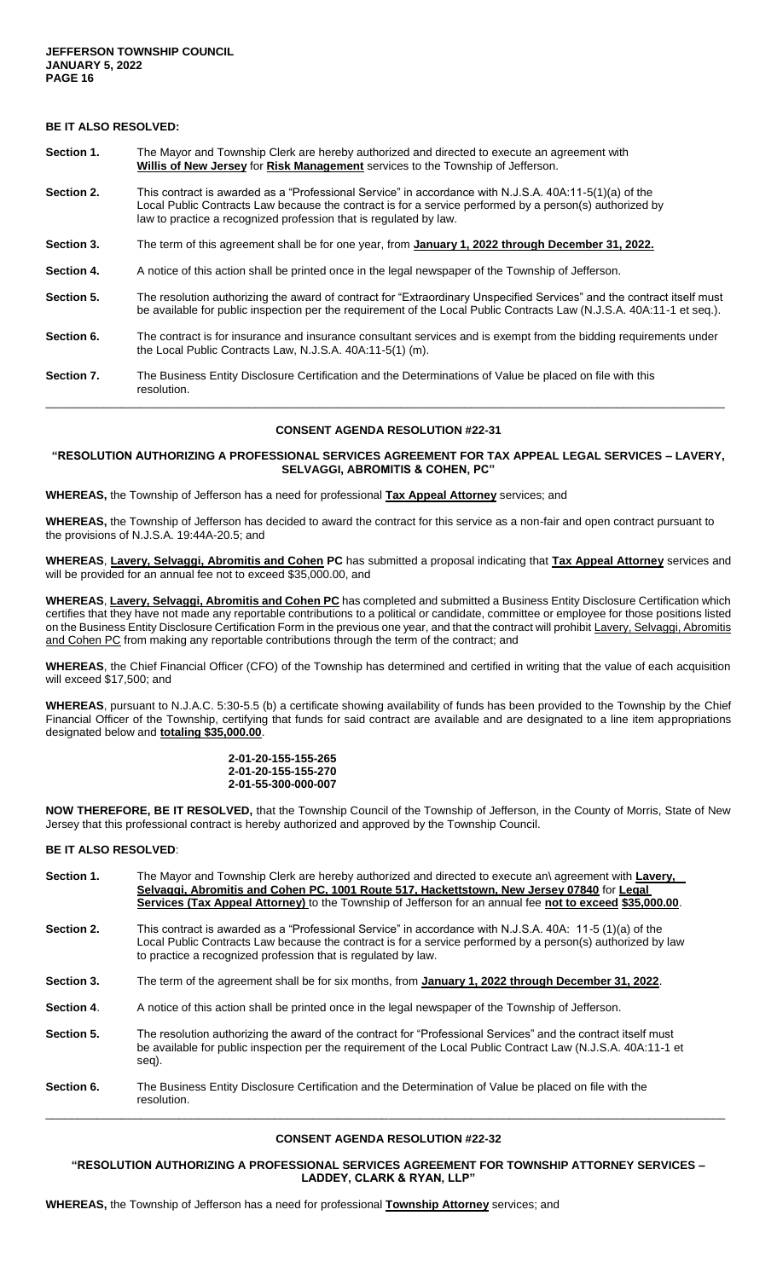# **BE IT ALSO RESOLVED:**

- **Section 1.** The Mayor and Township Clerk are hereby authorized and directed to execute an agreement with **Willis of New Jersey** for **Risk Management** services to the Township of Jefferson.
- **Section 2.** This contract is awarded as a "Professional Service" in accordance with N.J.S.A. 40A:11-5(1)(a) of the Local Public Contracts Law because the contract is for a service performed by a person(s) authorized by law to practice a recognized profession that is regulated by law.
- **Section 3.** The term of this agreement shall be for one year, from **January 1, 2022 through December 31, 2022.**
- **Section 4.** A notice of this action shall be printed once in the legal newspaper of the Township of Jefferson.
- Section 5. The resolution authorizing the award of contract for "Extraordinary Unspecified Services" and the contract itself must be available for public inspection per the requirement of the Local Public Contracts Law (N.J.S.A. 40A:11-1 et seq.).
- **Section 6.** The contract is for insurance and insurance consultant services and is exempt from the bidding requirements under the Local Public Contracts Law, N.J.S.A. 40A:11-5(1) (m).
- **Section 7.** The Business Entity Disclosure Certification and the Determinations of Value be placed on file with this resolution.

### **CONSENT AGENDA RESOLUTION #22-31**

\_\_\_\_\_\_\_\_\_\_\_\_\_\_\_\_\_\_\_\_\_\_\_\_\_\_\_\_\_\_\_\_\_\_\_\_\_\_\_\_\_\_\_\_\_\_\_\_\_\_\_\_\_\_\_\_\_\_\_\_\_\_\_\_\_\_\_\_\_\_\_\_\_\_\_\_\_\_\_\_\_\_\_\_\_\_\_\_\_\_\_\_\_\_\_\_\_\_\_\_\_\_\_\_\_\_\_

### **"RESOLUTION AUTHORIZING A PROFESSIONAL SERVICES AGREEMENT FOR TAX APPEAL LEGAL SERVICES – LAVERY, SELVAGGI, ABROMITIS & COHEN, PC"**

**WHEREAS,** the Township of Jefferson has a need for professional **Tax Appeal Attorney** services; and

**WHEREAS,** the Township of Jefferson has decided to award the contract for this service as a non-fair and open contract pursuant to the provisions of N.J.S.A. 19:44A-20.5; and

**WHEREAS**, **Lavery, Selvaggi, Abromitis and Cohen PC** has submitted a proposal indicating that **Tax Appeal Attorney** services and will be provided for an annual fee not to exceed \$35,000.00, and

**WHEREAS**, **Lavery, Selvaggi, Abromitis and Cohen PC** has completed and submitted a Business Entity Disclosure Certification which certifies that they have not made any reportable contributions to a political or candidate, committee or employee for those positions listed on the Business Entity Disclosure Certification Form in the previous one year, and that the contract will prohibit Lavery, Selvaggi, Abromitis and Cohen PC from making any reportable contributions through the term of the contract; and

**WHEREAS**, the Chief Financial Officer (CFO) of the Township has determined and certified in writing that the value of each acquisition will exceed \$17,500; and

**WHEREAS**, pursuant to N.J.A.C. 5:30-5.5 (b) a certificate showing availability of funds has been provided to the Township by the Chief Financial Officer of the Township, certifying that funds for said contract are available and are designated to a line item appropriations designated below and **totaling \$35,000.00**.

#### **2-01-20-155-155-265 2-01-20-155-155-270 2-01-55-300-000-007**

**NOW THEREFORE, BE IT RESOLVED,** that the Township Council of the Township of Jefferson, in the County of Morris, State of New Jersey that this professional contract is hereby authorized and approved by the Township Council.

#### **BE IT ALSO RESOLVED**:

| Section 1. | The Mayor and Township Clerk are hereby authorized and directed to execute an\ agreement with Lavery,<br>Selvaggi, Abromitis and Cohen PC, 1001 Route 517, Hackettstown, New Jersey 07840 for Legal<br>Services (Tax Appeal Attorney) to the Township of Jefferson for an annual fee not to exceed \$35,000.00. |
|------------|-----------------------------------------------------------------------------------------------------------------------------------------------------------------------------------------------------------------------------------------------------------------------------------------------------------------|
| Section 2. | This contract is awarded as a "Professional Service" in accordance with N.J.S.A. 40A: 11-5 (1)(a) of the<br>Local Public Contracts Law because the contract is for a service performed by a person(s) authorized by law<br>to practice a recognized profession that is regulated by law.                        |
| Section 3. | The term of the agreement shall be for six months, from January 1, 2022 through December 31, 2022.                                                                                                                                                                                                              |
| Section 4. | A notice of this action shall be printed once in the legal newspaper of the Township of Jefferson.                                                                                                                                                                                                              |
| Section 5. | The resolution authorizing the award of the contract for "Professional Services" and the contract itself must<br>be available for public inspection per the requirement of the Local Public Contract Law (N.J.S.A. 40A:11-1 et<br>seg).                                                                         |
| Section 6. | The Business Entity Disclosure Certification and the Determination of Value be placed on file with the<br>resolution.                                                                                                                                                                                           |

### **CONSENT AGENDA RESOLUTION #22-32**

**"RESOLUTION AUTHORIZING A PROFESSIONAL SERVICES AGREEMENT FOR TOWNSHIP ATTORNEY SERVICES – LADDEY, CLARK & RYAN, LLP"**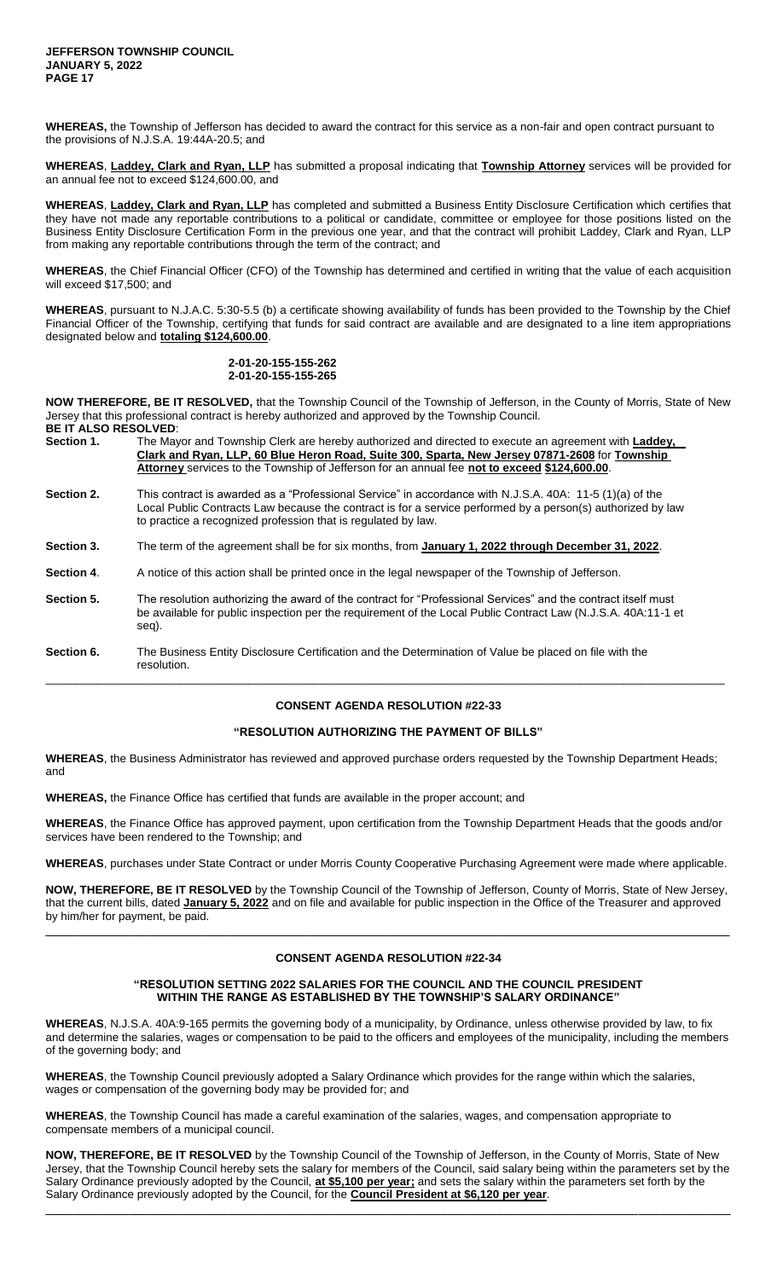**WHEREAS,** the Township of Jefferson has decided to award the contract for this service as a non-fair and open contract pursuant to the provisions of N.J.S.A. 19:44A-20.5; and

**WHEREAS**, **Laddey, Clark and Ryan, LLP** has submitted a proposal indicating that **Township Attorney** services will be provided for an annual fee not to exceed \$124,600.00, and

**WHEREAS**, **Laddey, Clark and Ryan, LLP** has completed and submitted a Business Entity Disclosure Certification which certifies that they have not made any reportable contributions to a political or candidate, committee or employee for those positions listed on the Business Entity Disclosure Certification Form in the previous one year, and that the contract will prohibit Laddey, Clark and Ryan, LLP from making any reportable contributions through the term of the contract; and

**WHEREAS**, the Chief Financial Officer (CFO) of the Township has determined and certified in writing that the value of each acquisition will exceed \$17,500; and

**WHEREAS**, pursuant to N.J.A.C. 5:30-5.5 (b) a certificate showing availability of funds has been provided to the Township by the Chief Financial Officer of the Township, certifying that funds for said contract are available and are designated to a line item appropriations designated below and **totaling \$124,600.00**.

### **2-01-20-155-155-262 2-01-20-155-155-265**

**NOW THEREFORE, BE IT RESOLVED,** that the Township Council of the Township of Jefferson, in the County of Morris, State of New Jersey that this professional contract is hereby authorized and approved by the Township Council. **BE IT ALSO RESOLVED**:

- **Section 1.** The Mayor and Township Clerk are hereby authorized and directed to execute an agreement with **Laddey, Clark and Ryan, LLP, 60 Blue Heron Road, Suite 300, Sparta, New Jersey 07871-2608** for **Township Attorney** services to the Township of Jefferson for an annual fee **not to exceed \$124,600.00**.
- **Section 2.** This contract is awarded as a "Professional Service" in accordance with N.J.S.A. 40A: 11-5 (1)(a) of the Local Public Contracts Law because the contract is for a service performed by a person(s) authorized by law to practice a recognized profession that is regulated by law.
- Section 3. The term of the agreement shall be for six months, from January 1, 2022 through December 31, 2022.
- **Section 4.** A notice of this action shall be printed once in the legal newspaper of the Township of Jefferson.
- **Section 5.** The resolution authorizing the award of the contract for "Professional Services" and the contract itself must be available for public inspection per the requirement of the Local Public Contract Law (N.J.S.A. 40A:11-1 et seq).

**Section 6.** The Business Entity Disclosure Certification and the Determination of Value be placed on file with the resolution. \_\_\_\_\_\_\_\_\_\_\_\_\_\_\_\_\_\_\_\_\_\_\_\_\_\_\_\_\_\_\_\_\_\_\_\_\_\_\_\_\_\_\_\_\_\_\_\_\_\_\_\_\_\_\_\_\_\_\_\_\_\_\_\_\_\_\_\_\_\_\_\_\_\_\_\_\_\_\_\_\_\_\_\_\_\_\_\_\_\_\_\_\_\_\_\_\_\_\_\_\_\_\_\_\_\_\_

# **CONSENT AGENDA RESOLUTION #22-33**

### **"RESOLUTION AUTHORIZING THE PAYMENT OF BILLS"**

**WHEREAS**, the Business Administrator has reviewed and approved purchase orders requested by the Township Department Heads; and

**WHEREAS,** the Finance Office has certified that funds are available in the proper account; and

**WHEREAS**, the Finance Office has approved payment, upon certification from the Township Department Heads that the goods and/or services have been rendered to the Township; and

**WHEREAS**, purchases under State Contract or under Morris County Cooperative Purchasing Agreement were made where applicable.

**NOW, THEREFORE, BE IT RESOLVED** by the Township Council of the Township of Jefferson, County of Morris, State of New Jersey, that the current bills, dated **January 5, 2022** and on file and available for public inspection in the Office of the Treasurer and approved by him/her for payment, be paid.

## **CONSENT AGENDA RESOLUTION #22-34**

\_\_\_\_\_\_\_\_\_\_\_\_\_\_\_\_\_\_\_\_\_\_\_\_\_\_\_\_\_\_\_\_\_\_\_\_\_\_\_\_\_\_\_\_\_\_\_\_\_\_\_\_\_\_\_\_\_\_\_\_\_\_\_\_\_\_\_\_\_\_\_\_\_\_\_\_\_\_\_\_\_\_\_\_\_\_\_\_\_\_\_\_\_\_\_\_\_

### **"RESOLUTION SETTING 2022 SALARIES FOR THE COUNCIL AND THE COUNCIL PRESIDENT WITHIN THE RANGE AS ESTABLISHED BY THE TOWNSHIP'S SALARY ORDINANCE"**

**WHEREAS**, N.J.S.A. 40A:9-165 permits the governing body of a municipality, by Ordinance, unless otherwise provided by law, to fix and determine the salaries, wages or compensation to be paid to the officers and employees of the municipality, including the members of the governing body; and

**WHEREAS**, the Township Council previously adopted a Salary Ordinance which provides for the range within which the salaries, wages or compensation of the governing body may be provided for; and

**WHEREAS**, the Township Council has made a careful examination of the salaries, wages, and compensation appropriate to compensate members of a municipal council.

**NOW, THEREFORE, BE IT RESOLVED** by the Township Council of the Township of Jefferson, in the County of Morris, State of New Jersey, that the Township Council hereby sets the salary for members of the Council, said salary being within the parameters set by the Salary Ordinance previously adopted by the Council, **at \$5,100 per year;** and sets the salary within the parameters set forth by the Salary Ordinance previously adopted by the Council, for the **Council President at \$6,120 per year**.

 $\Box$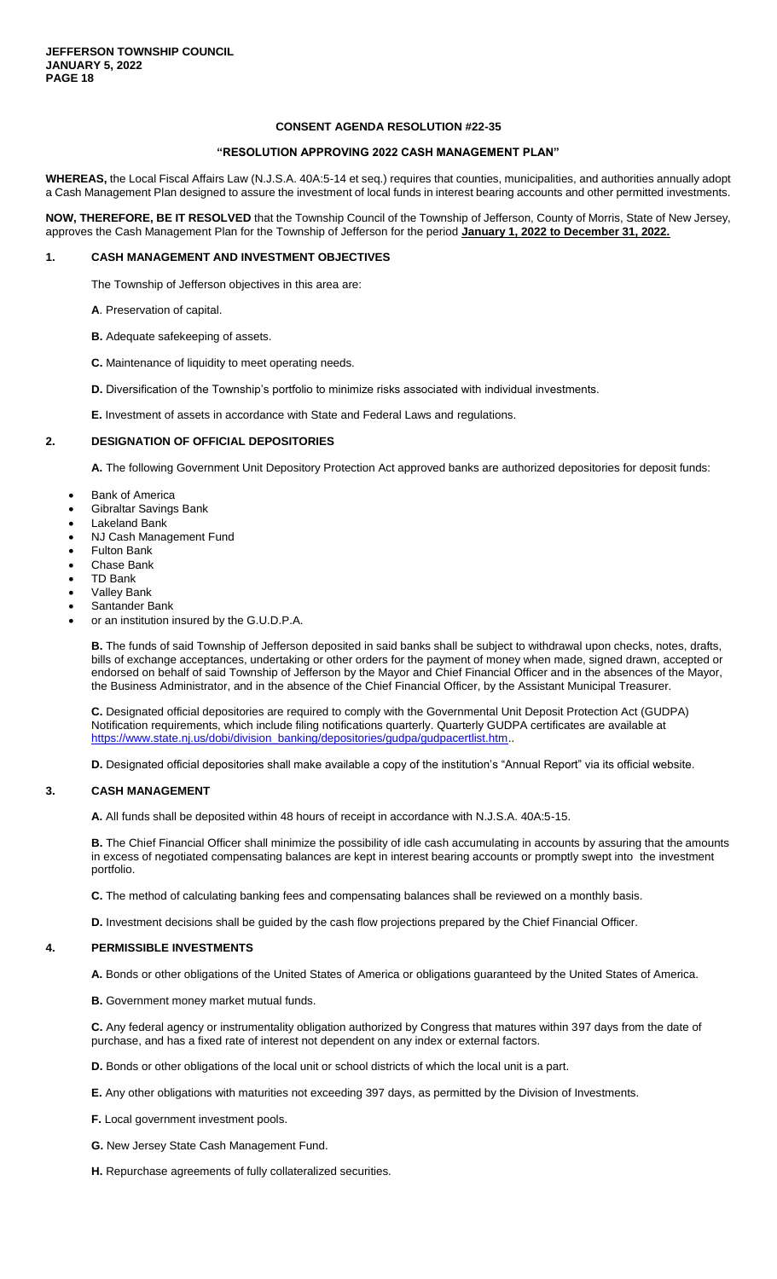#### **"RESOLUTION APPROVING 2022 CASH MANAGEMENT PLAN"**

**WHEREAS,** the Local Fiscal Affairs Law (N.J.S.A. 40A:5-14 et seq.) requires that counties, municipalities, and authorities annually adopt a Cash Management Plan designed to assure the investment of local funds in interest bearing accounts and other permitted investments.

**NOW, THEREFORE, BE IT RESOLVED** that the Township Council of the Township of Jefferson, County of Morris, State of New Jersey, approves the Cash Management Plan for the Township of Jefferson for the period **January 1, 2022 to December 31, 2022.**

#### **1. CASH MANAGEMENT AND INVESTMENT OBJECTIVES**

The Township of Jefferson objectives in this area are:

**A**. Preservation of capital.

**B.** Adequate safekeeping of assets.

**C.** Maintenance of liquidity to meet operating needs.

**D.** Diversification of the Township's portfolio to minimize risks associated with individual investments.

**E.** Investment of assets in accordance with State and Federal Laws and regulations.

#### **2. DESIGNATION OF OFFICIAL DEPOSITORIES**

**A.** The following Government Unit Depository Protection Act approved banks are authorized depositories for deposit funds:

- Bank of America
- Gibraltar Savings Bank
- Lakeland Bank
- NJ Cash Management Fund
- Fulton Bank
- Chase Bank
- TD Bank
- Valley Bank
- Santander Bank
- or an institution insured by the G.U.D.P.A.

**B.** The funds of said Township of Jefferson deposited in said banks shall be subject to withdrawal upon checks, notes, drafts, bills of exchange acceptances, undertaking or other orders for the payment of money when made, signed drawn, accepted or endorsed on behalf of said Township of Jefferson by the Mayor and Chief Financial Officer and in the absences of the Mayor, the Business Administrator, and in the absence of the Chief Financial Officer, by the Assistant Municipal Treasurer.

**C.** Designated official depositories are required to comply with the Governmental Unit Deposit Protection Act (GUDPA) Notification requirements, which include filing notifications quarterly. Quarterly GUDPA certificates are available at [https://www.state.nj.us/dobi/division\\_banking/depositories/gudpa/gudpacertlist.htm.](https://www.state.nj.us/dobi/division_banking/depositories/gudpa/gudpacertlist.htm)

**D.** Designated official depositories shall make available a copy of the institution's "Annual Report" via its official website.

#### **3. CASH MANAGEMENT**

**A.** All funds shall be deposited within 48 hours of receipt in accordance with N.J.S.A. 40A:5-15.

**B.** The Chief Financial Officer shall minimize the possibility of idle cash accumulating in accounts by assuring that the amounts in excess of negotiated compensating balances are kept in interest bearing accounts or promptly swept into the investment portfolio.

**C.** The method of calculating banking fees and compensating balances shall be reviewed on a monthly basis.

**D.** Investment decisions shall be guided by the cash flow projections prepared by the Chief Financial Officer.

#### **4. PERMISSIBLE INVESTMENTS**

**A.** Bonds or other obligations of the United States of America or obligations guaranteed by the United States of America.

**B.** Government money market mutual funds.

**C.** Any federal agency or instrumentality obligation authorized by Congress that matures within 397 days from the date of purchase, and has a fixed rate of interest not dependent on any index or external factors.

**D.** Bonds or other obligations of the local unit or school districts of which the local unit is a part.

- **E.** Any other obligations with maturities not exceeding 397 days, as permitted by the Division of Investments.
- **F.** Local government investment pools.
- **G.** New Jersey State Cash Management Fund.
- **H.** Repurchase agreements of fully collateralized securities.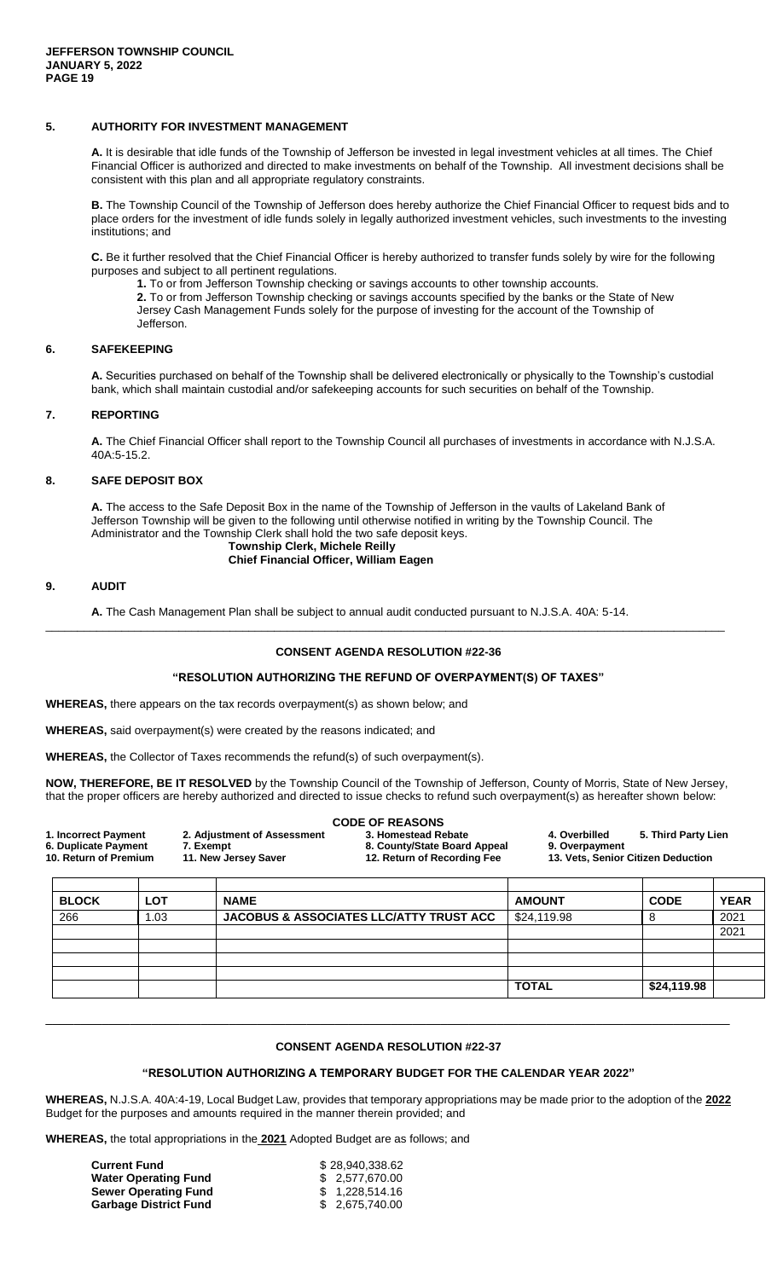### **5. AUTHORITY FOR INVESTMENT MANAGEMENT**

**A.** It is desirable that idle funds of the Township of Jefferson be invested in legal investment vehicles at all times. The Chief Financial Officer is authorized and directed to make investments on behalf of the Township. All investment decisions shall be consistent with this plan and all appropriate regulatory constraints.

**B.** The Township Council of the Township of Jefferson does hereby authorize the Chief Financial Officer to request bids and to place orders for the investment of idle funds solely in legally authorized investment vehicles, such investments to the investing institutions; and

**C.** Be it further resolved that the Chief Financial Officer is hereby authorized to transfer funds solely by wire for the following purposes and subject to all pertinent regulations.

**1.** To or from Jefferson Township checking or savings accounts to other township accounts.

**2.** To or from Jefferson Township checking or savings accounts specified by the banks or the State of New Jersey Cash Management Funds solely for the purpose of investing for the account of the Township of Jefferson.

### **6. SAFEKEEPING**

**A.** Securities purchased on behalf of the Township shall be delivered electronically or physically to the Township's custodial bank, which shall maintain custodial and/or safekeeping accounts for such securities on behalf of the Township.

### **7. REPORTING**

**A.** The Chief Financial Officer shall report to the Township Council all purchases of investments in accordance with N.J.S.A. 40A:5-15.2.

### **8. SAFE DEPOSIT BOX**

**A.** The access to the Safe Deposit Box in the name of the Township of Jefferson in the vaults of Lakeland Bank of Jefferson Township will be given to the following until otherwise notified in writing by the Township Council. The Administrator and the Township Clerk shall hold the two safe deposit keys.

#### **Township Clerk, Michele Reilly Chief Financial Officer, William Eagen**

### **9. AUDIT**

**A.** The Cash Management Plan shall be subject to annual audit conducted pursuant to N.J.S.A. 40A: 5-14.

### **CONSENT AGENDA RESOLUTION #22-36**

\_\_\_\_\_\_\_\_\_\_\_\_\_\_\_\_\_\_\_\_\_\_\_\_\_\_\_\_\_\_\_\_\_\_\_\_\_\_\_\_\_\_\_\_\_\_\_\_\_\_\_\_\_\_\_\_\_\_\_\_\_\_\_\_\_\_\_\_\_\_\_\_\_\_\_\_\_\_\_\_\_\_\_\_\_\_\_\_\_\_\_\_\_\_\_\_\_\_\_\_\_\_\_\_\_\_\_

### **"RESOLUTION AUTHORIZING THE REFUND OF OVERPAYMENT(S) OF TAXES"**

**WHEREAS,** there appears on the tax records overpayment(s) as shown below; and

**WHEREAS,** said overpayment(s) were created by the reasons indicated; and

**WHEREAS,** the Collector of Taxes recommends the refund(s) of such overpayment(s).

**NOW, THEREFORE, BE IT RESOLVED** by the Township Council of the Township of Jefferson, County of Morris, State of New Jersey, that the proper officers are hereby authorized and directed to issue checks to refund such overpayment(s) as hereafter shown below:

|                       |                             | <b>CODE OF REASONS</b>       |                |                                    |  |
|-----------------------|-----------------------------|------------------------------|----------------|------------------------------------|--|
| 1. Incorrect Payment  | 2. Adjustment of Assessment | 3. Homestead Rebate          | 4. Overbilled  | 5. Third Party Lien                |  |
| 6. Duplicate Payment  | 7. Exempt                   | 8. County/State Board Appeal | 9. Overpayment |                                    |  |
| 10. Return of Premium | 11. New Jersey Saver        | 12. Return of Recording Fee  |                | 13. Vets, Senior Citizen Deduction |  |
|                       |                             |                              |                |                                    |  |
|                       |                             |                              |                |                                    |  |

| <b>BLOCK</b> | <b>LOT</b> | <b>NAME</b>                                        | <b>AMOUNT</b> | <b>CODE</b> | <b>YEAR</b> |
|--------------|------------|----------------------------------------------------|---------------|-------------|-------------|
| 266          | .03        | <b>JACOBUS &amp; ASSOCIATES LLC/ATTY TRUST ACC</b> | \$24,119.98   |             | 2021        |
|              |            |                                                    |               |             | 2021        |
|              |            |                                                    |               |             |             |
|              |            |                                                    |               |             |             |
|              |            |                                                    |               |             |             |
|              |            |                                                    | <b>TOTAL</b>  | \$24,119.98 |             |

#### **CONSENT AGENDA RESOLUTION #22-37**

 $\Box$ 

#### **"RESOLUTION AUTHORIZING A TEMPORARY BUDGET FOR THE CALENDAR YEAR 2022"**

**WHEREAS,** N.J.S.A. 40A:4-19, Local Budget Law, provides that temporary appropriations may be made prior to the adoption of the **2022** Budget for the purposes and amounts required in the manner therein provided; and

**WHEREAS,** the total appropriations in the **2021** Adopted Budget are as follows; and

| <b>Current Fund</b>          | \$28,940,338.62 |
|------------------------------|-----------------|
| <b>Water Operating Fund</b>  | \$ 2.577.670.00 |
| <b>Sewer Operating Fund</b>  | \$ 1.228.514.16 |
| <b>Garbage District Fund</b> | \$ 2.675.740.00 |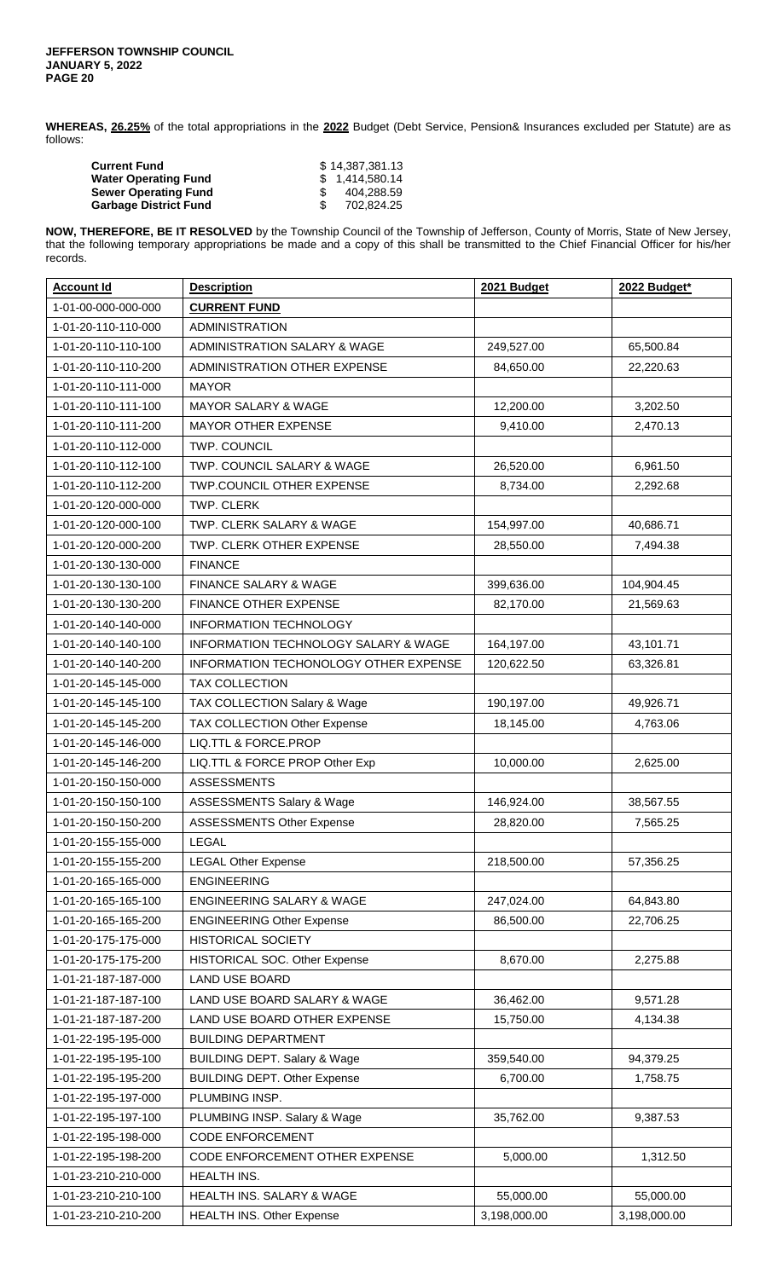**WHEREAS, 26.25%** of the total appropriations in the **2022** Budget (Debt Service, Pension& Insurances excluded per Statute) are as follows:

| <b>Current Fund</b>          | \$14.387.381.13 |
|------------------------------|-----------------|
| <b>Water Operating Fund</b>  | \$1.414.580.14  |
| <b>Sewer Operating Fund</b>  | 404.288.59      |
| <b>Garbage District Fund</b> | 702.824.25      |

**NOW, THEREFORE, BE IT RESOLVED** by the Township Council of the Township of Jefferson, County of Morris, State of New Jersey, that the following temporary appropriations be made and a copy of this shall be transmitted to the Chief Financial Officer for his/her records.

| <b>Account Id</b>   | <b>Description</b>                      | 2021 Budget  | 2022 Budget* |
|---------------------|-----------------------------------------|--------------|--------------|
| 1-01-00-000-000-000 | <b>CURRENT FUND</b>                     |              |              |
| 1-01-20-110-110-000 | <b>ADMINISTRATION</b>                   |              |              |
| 1-01-20-110-110-100 | ADMINISTRATION SALARY & WAGE            | 249,527.00   | 65,500.84    |
| 1-01-20-110-110-200 | ADMINISTRATION OTHER EXPENSE            | 84,650.00    | 22,220.63    |
| 1-01-20-110-111-000 | <b>MAYOR</b>                            |              |              |
| 1-01-20-110-111-100 | <b>MAYOR SALARY &amp; WAGE</b>          | 12,200.00    | 3,202.50     |
| 1-01-20-110-111-200 | <b>MAYOR OTHER EXPENSE</b>              | 9,410.00     | 2,470.13     |
| 1-01-20-110-112-000 | TWP. COUNCIL                            |              |              |
| 1-01-20-110-112-100 | TWP. COUNCIL SALARY & WAGE              | 26,520.00    | 6,961.50     |
| 1-01-20-110-112-200 | TWP.COUNCIL OTHER EXPENSE               | 8,734.00     | 2,292.68     |
| 1-01-20-120-000-000 | TWP. CLERK                              |              |              |
| 1-01-20-120-000-100 | TWP. CLERK SALARY & WAGE                | 154,997.00   | 40,686.71    |
| 1-01-20-120-000-200 | TWP. CLERK OTHER EXPENSE                | 28,550.00    | 7,494.38     |
| 1-01-20-130-130-000 | <b>FINANCE</b>                          |              |              |
| 1-01-20-130-130-100 | <b>FINANCE SALARY &amp; WAGE</b>        | 399,636.00   | 104,904.45   |
| 1-01-20-130-130-200 | FINANCE OTHER EXPENSE                   | 82,170.00    | 21,569.63    |
| 1-01-20-140-140-000 | <b>INFORMATION TECHNOLOGY</b>           |              |              |
| 1-01-20-140-140-100 | INFORMATION TECHNOLOGY SALARY & WAGE    | 164,197.00   | 43,101.71    |
| 1-01-20-140-140-200 | INFORMATION TECHONOLOGY OTHER EXPENSE   | 120,622.50   | 63,326.81    |
| 1-01-20-145-145-000 | <b>TAX COLLECTION</b>                   |              |              |
| 1-01-20-145-145-100 | TAX COLLECTION Salary & Wage            | 190,197.00   | 49,926.71    |
| 1-01-20-145-145-200 | TAX COLLECTION Other Expense            | 18,145.00    | 4,763.06     |
| 1-01-20-145-146-000 | LIQ.TTL & FORCE.PROP                    |              |              |
| 1-01-20-145-146-200 | LIQ.TTL & FORCE PROP Other Exp          | 10,000.00    | 2,625.00     |
| 1-01-20-150-150-000 | <b>ASSESSMENTS</b>                      |              |              |
| 1-01-20-150-150-100 | ASSESSMENTS Salary & Wage               | 146,924.00   | 38,567.55    |
| 1-01-20-150-150-200 | <b>ASSESSMENTS Other Expense</b>        | 28,820.00    | 7,565.25     |
| 1-01-20-155-155-000 | <b>LEGAL</b>                            |              |              |
| 1-01-20-155-155-200 | <b>LEGAL Other Expense</b>              | 218,500.00   | 57,356.25    |
| 1-01-20-165-165-000 | <b>ENGINEERING</b>                      |              |              |
| 1-01-20-165-165-100 | <b>ENGINEERING SALARY &amp; WAGE</b>    | 247,024.00   | 64,843.80    |
| 1-01-20-165-165-200 | <b>ENGINEERING Other Expense</b>        | 86,500.00    | 22,706.25    |
| 1-01-20-175-175-000 | <b>HISTORICAL SOCIETY</b>               |              |              |
| 1-01-20-175-175-200 | HISTORICAL SOC. Other Expense           | 8,670.00     | 2,275.88     |
| 1-01-21-187-187-000 | <b>LAND USE BOARD</b>                   |              |              |
| 1-01-21-187-187-100 | LAND USE BOARD SALARY & WAGE            | 36,462.00    | 9,571.28     |
| 1-01-21-187-187-200 | LAND USE BOARD OTHER EXPENSE            | 15,750.00    | 4,134.38     |
| 1-01-22-195-195-000 | <b>BUILDING DEPARTMENT</b>              |              |              |
| 1-01-22-195-195-100 | <b>BUILDING DEPT. Salary &amp; Wage</b> | 359,540.00   | 94,379.25    |
| 1-01-22-195-195-200 | <b>BUILDING DEPT. Other Expense</b>     | 6,700.00     | 1,758.75     |
| 1-01-22-195-197-000 | PLUMBING INSP.                          |              |              |
| 1-01-22-195-197-100 | PLUMBING INSP. Salary & Wage            | 35,762.00    | 9,387.53     |
| 1-01-22-195-198-000 | <b>CODE ENFORCEMENT</b>                 |              |              |
| 1-01-22-195-198-200 | CODE ENFORCEMENT OTHER EXPENSE          | 5,000.00     | 1,312.50     |
| 1-01-23-210-210-000 | HEALTH INS.                             |              |              |
| 1-01-23-210-210-100 | HEALTH INS. SALARY & WAGE               | 55,000.00    | 55,000.00    |
| 1-01-23-210-210-200 | <b>HEALTH INS. Other Expense</b>        | 3,198,000.00 | 3,198,000.00 |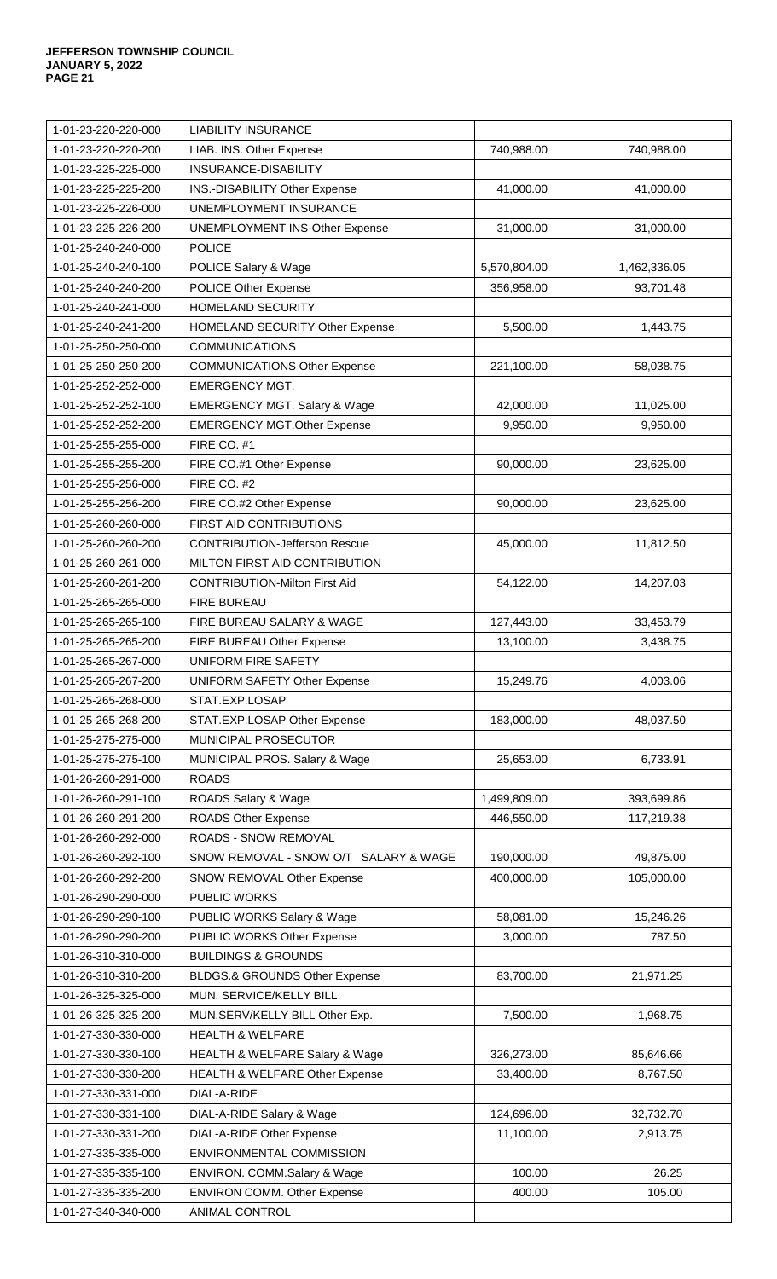| 1-01-23-220-220-000 | <b>LIABILITY INSURANCE</b>               |              |              |
|---------------------|------------------------------------------|--------------|--------------|
| 1-01-23-220-220-200 | LIAB. INS. Other Expense                 | 740,988.00   | 740,988.00   |
| 1-01-23-225-225-000 | INSURANCE-DISABILITY                     |              |              |
| 1-01-23-225-225-200 | INS.-DISABILITY Other Expense            | 41,000.00    | 41,000.00    |
| 1-01-23-225-226-000 | UNEMPLOYMENT INSURANCE                   |              |              |
| 1-01-23-225-226-200 | <b>UNEMPLOYMENT INS-Other Expense</b>    | 31,000.00    | 31,000.00    |
| 1-01-25-240-240-000 | <b>POLICE</b>                            |              |              |
| 1-01-25-240-240-100 | POLICE Salary & Wage                     | 5,570,804.00 | 1,462,336.05 |
| 1-01-25-240-240-200 | POLICE Other Expense                     | 356,958.00   | 93,701.48    |
| 1-01-25-240-241-000 | HOMELAND SECURITY                        |              |              |
| 1-01-25-240-241-200 | HOMELAND SECURITY Other Expense          | 5,500.00     | 1,443.75     |
| 1-01-25-250-250-000 | <b>COMMUNICATIONS</b>                    |              |              |
| 1-01-25-250-250-200 | <b>COMMUNICATIONS Other Expense</b>      | 221,100.00   | 58,038.75    |
| 1-01-25-252-252-000 | <b>EMERGENCY MGT.</b>                    |              |              |
| 1-01-25-252-252-100 | <b>EMERGENCY MGT. Salary &amp; Wage</b>  | 42,000.00    | 11,025.00    |
| 1-01-25-252-252-200 | <b>EMERGENCY MGT.Other Expense</b>       | 9,950.00     | 9,950.00     |
| 1-01-25-255-255-000 | FIRE CO. #1                              |              |              |
| 1-01-25-255-255-200 | FIRE CO.#1 Other Expense                 | 90,000.00    | 23,625.00    |
| 1-01-25-255-256-000 | FIRE CO. #2                              |              |              |
| 1-01-25-255-256-200 | FIRE CO.#2 Other Expense                 | 90,000.00    | 23,625.00    |
| 1-01-25-260-260-000 | FIRST AID CONTRIBUTIONS                  |              |              |
| 1-01-25-260-260-200 | <b>CONTRIBUTION-Jefferson Rescue</b>     | 45,000.00    | 11,812.50    |
| 1-01-25-260-261-000 | MILTON FIRST AID CONTRIBUTION            |              |              |
| 1-01-25-260-261-200 | <b>CONTRIBUTION-Milton First Aid</b>     | 54,122.00    | 14,207.03    |
| 1-01-25-265-265-000 | <b>FIRE BUREAU</b>                       |              |              |
| 1-01-25-265-265-100 | FIRE BUREAU SALARY & WAGE                | 127,443.00   | 33,453.79    |
| 1-01-25-265-265-200 | FIRE BUREAU Other Expense                | 13,100.00    | 3,438.75     |
| 1-01-25-265-267-000 | UNIFORM FIRE SAFETY                      |              |              |
| 1-01-25-265-267-200 | <b>UNIFORM SAFETY Other Expense</b>      | 15,249.76    | 4,003.06     |
| 1-01-25-265-268-000 | STAT.EXP.LOSAP                           |              |              |
| 1-01-25-265-268-200 | STAT.EXP.LOSAP Other Expense             | 183,000.00   | 48,037.50    |
| 1-01-25-275-275-000 | <b>MUNICIPAL PROSECUTOR</b>              |              |              |
| 1-01-25-275-275-100 | MUNICIPAL PROS. Salary & Wage            | 25,653.00    | 6,733.91     |
| 1-01-26-260-291-000 | <b>ROADS</b>                             |              |              |
| 1-01-26-260-291-100 | ROADS Salary & Wage                      | 1,499,809.00 | 393,699.86   |
| 1-01-26-260-291-200 | <b>ROADS Other Expense</b>               | 446,550.00   | 117,219.38   |
| 1-01-26-260-292-000 | ROADS - SNOW REMOVAL                     |              |              |
| 1-01-26-260-292-100 | SNOW REMOVAL - SNOW O/T SALARY & WAGE    | 190,000.00   | 49,875.00    |
| 1-01-26-260-292-200 | SNOW REMOVAL Other Expense               | 400,000.00   | 105,000.00   |
| 1-01-26-290-290-000 | PUBLIC WORKS                             |              |              |
| 1-01-26-290-290-100 | PUBLIC WORKS Salary & Wage               | 58,081.00    | 15,246.26    |
| 1-01-26-290-290-200 | PUBLIC WORKS Other Expense               | 3,000.00     | 787.50       |
| 1-01-26-310-310-000 | <b>BUILDINGS &amp; GROUNDS</b>           |              |              |
| 1-01-26-310-310-200 | <b>BLDGS.&amp; GROUNDS Other Expense</b> | 83,700.00    | 21,971.25    |
| 1-01-26-325-325-000 | MUN. SERVICE/KELLY BILL                  |              |              |
| 1-01-26-325-325-200 | MUN.SERV/KELLY BILL Other Exp.           | 7,500.00     | 1,968.75     |
| 1-01-27-330-330-000 | <b>HEALTH &amp; WELFARE</b>              |              |              |
| 1-01-27-330-330-100 | HEALTH & WELFARE Salary & Wage           | 326,273.00   | 85,646.66    |
| 1-01-27-330-330-200 | HEALTH & WELFARE Other Expense           | 33,400.00    | 8,767.50     |
| 1-01-27-330-331-000 | DIAL-A-RIDE                              |              |              |
| 1-01-27-330-331-100 | DIAL-A-RIDE Salary & Wage                | 124,696.00   | 32,732.70    |
| 1-01-27-330-331-200 | <b>DIAL-A-RIDE Other Expense</b>         | 11,100.00    | 2,913.75     |
| 1-01-27-335-335-000 | ENVIRONMENTAL COMMISSION                 |              |              |
| 1-01-27-335-335-100 | ENVIRON. COMM.Salary & Wage              | 100.00       | 26.25        |
| 1-01-27-335-335-200 | <b>ENVIRON COMM. Other Expense</b>       | 400.00       | 105.00       |
| 1-01-27-340-340-000 | ANIMAL CONTROL                           |              |              |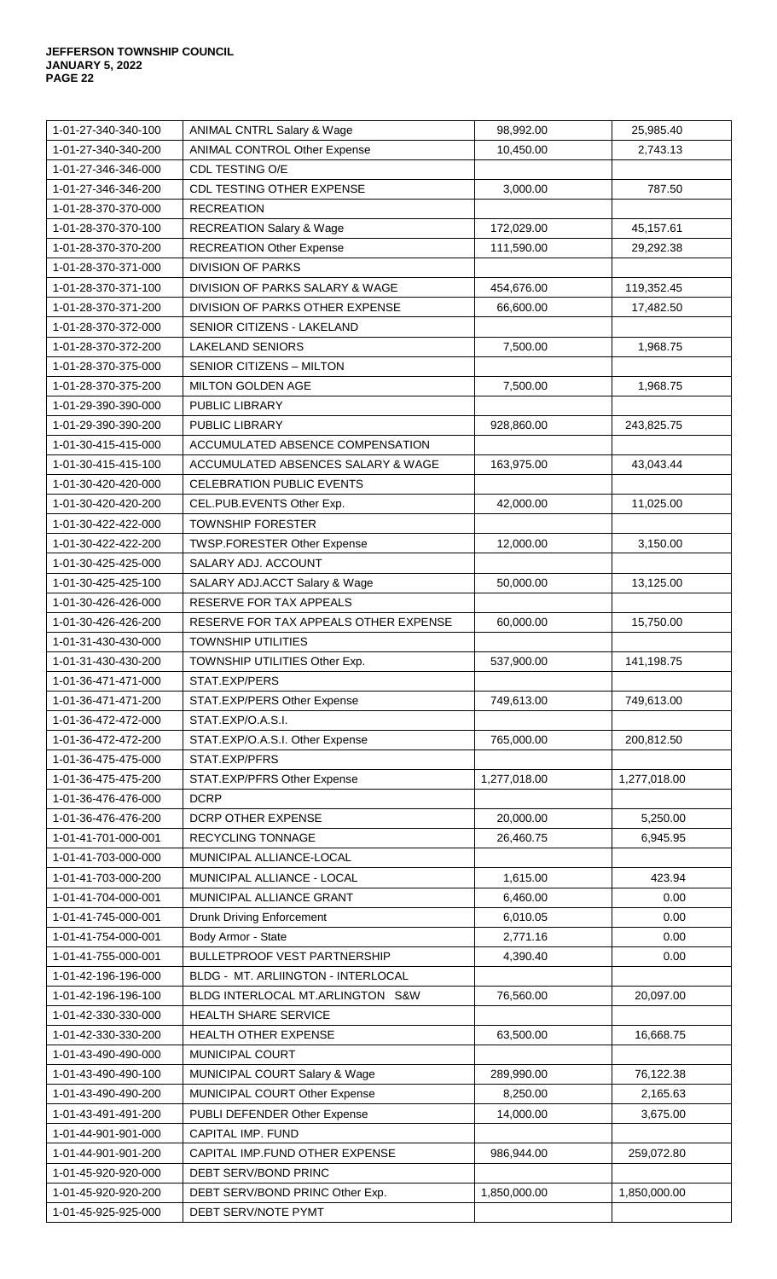| 1-01-27-340-340-100 | <b>ANIMAL CNTRL Salary &amp; Wage</b>     | 98,992.00    | 25,985.40    |
|---------------------|-------------------------------------------|--------------|--------------|
| 1-01-27-340-340-200 | ANIMAL CONTROL Other Expense              | 10,450.00    | 2,743.13     |
| 1-01-27-346-346-000 | CDL TESTING O/E                           |              |              |
| 1-01-27-346-346-200 | CDL TESTING OTHER EXPENSE                 | 3,000.00     | 787.50       |
| 1-01-28-370-370-000 | <b>RECREATION</b>                         |              |              |
| 1-01-28-370-370-100 | <b>RECREATION Salary &amp; Wage</b>       | 172,029.00   | 45,157.61    |
| 1-01-28-370-370-200 | <b>RECREATION Other Expense</b>           | 111,590.00   | 29,292.38    |
| 1-01-28-370-371-000 | <b>DIVISION OF PARKS</b>                  |              |              |
| 1-01-28-370-371-100 | DIVISION OF PARKS SALARY & WAGE           | 454,676.00   | 119,352.45   |
| 1-01-28-370-371-200 | DIVISION OF PARKS OTHER EXPENSE           | 66,600.00    | 17,482.50    |
| 1-01-28-370-372-000 | <b>SENIOR CITIZENS - LAKELAND</b>         |              |              |
| 1-01-28-370-372-200 | <b>LAKELAND SENIORS</b>                   | 7,500.00     | 1,968.75     |
| 1-01-28-370-375-000 | SENIOR CITIZENS - MILTON                  |              |              |
| 1-01-28-370-375-200 | MILTON GOLDEN AGE                         | 7,500.00     | 1,968.75     |
| 1-01-29-390-390-000 | PUBLIC LIBRARY                            |              |              |
| 1-01-29-390-390-200 | <b>PUBLIC LIBRARY</b>                     | 928,860.00   | 243,825.75   |
| 1-01-30-415-415-000 | ACCUMULATED ABSENCE COMPENSATION          |              |              |
| 1-01-30-415-415-100 | ACCUMULATED ABSENCES SALARY & WAGE        | 163,975.00   | 43,043.44    |
| 1-01-30-420-420-000 | <b>CELEBRATION PUBLIC EVENTS</b>          |              |              |
| 1-01-30-420-420-200 | CEL.PUB.EVENTS Other Exp.                 | 42,000.00    | 11,025.00    |
| 1-01-30-422-422-000 | <b>TOWNSHIP FORESTER</b>                  |              |              |
| 1-01-30-422-422-200 | <b>TWSP.FORESTER Other Expense</b>        | 12,000.00    | 3,150.00     |
| 1-01-30-425-425-000 | SALARY ADJ. ACCOUNT                       |              |              |
| 1-01-30-425-425-100 | SALARY ADJ.ACCT Salary & Wage             | 50,000.00    | 13,125.00    |
| 1-01-30-426-426-000 | RESERVE FOR TAX APPEALS                   |              |              |
| 1-01-30-426-426-200 | RESERVE FOR TAX APPEALS OTHER EXPENSE     | 60,000.00    | 15,750.00    |
| 1-01-31-430-430-000 | <b>TOWNSHIP UTILITIES</b>                 |              |              |
| 1-01-31-430-430-200 | TOWNSHIP UTILITIES Other Exp.             | 537,900.00   | 141,198.75   |
| 1-01-36-471-471-000 | STAT.EXP/PERS                             |              |              |
| 1-01-36-471-471-200 | STAT.EXP/PERS Other Expense               | 749,613.00   | 749,613.00   |
| 1-01-36-472-472-000 | STAT.EXP/O.A.S.I.                         |              |              |
| 1-01-36-472-472-200 | STAT.EXP/O.A.S.I. Other Expense           | 765,000.00   | 200,812.50   |
| 1-01-36-475-475-000 | STAT.EXP/PFRS                             |              |              |
| 1-01-36-475-475-200 | STAT.EXP/PFRS Other Expense               | 1,277,018.00 | 1,277,018.00 |
| 1-01-36-476-476-000 | <b>DCRP</b>                               |              |              |
| 1-01-36-476-476-200 | DCRP OTHER EXPENSE                        | 20,000.00    | 5,250.00     |
| 1-01-41-701-000-001 | <b>RECYCLING TONNAGE</b>                  | 26,460.75    | 6,945.95     |
| 1-01-41-703-000-000 | MUNICIPAL ALLIANCE-LOCAL                  |              |              |
| 1-01-41-703-000-200 | MUNICIPAL ALLIANCE - LOCAL                | 1,615.00     | 423.94       |
| 1-01-41-704-000-001 | MUNICIPAL ALLIANCE GRANT                  | 6,460.00     | 0.00         |
| 1-01-41-745-000-001 | <b>Drunk Driving Enforcement</b>          | 6,010.05     | 0.00         |
| 1-01-41-754-000-001 | Body Armor - State                        | 2,771.16     | 0.00         |
| 1-01-41-755-000-001 | <b>BULLETPROOF VEST PARTNERSHIP</b>       | 4,390.40     | 0.00         |
| 1-01-42-196-196-000 | <b>BLDG - MT. ARLIINGTON - INTERLOCAL</b> |              |              |
| 1-01-42-196-196-100 | BLDG INTERLOCAL MT.ARLINGTON S&W          | 76,560.00    | 20,097.00    |
| 1-01-42-330-330-000 | HEALTH SHARE SERVICE                      |              |              |
| 1-01-42-330-330-200 | <b>HEALTH OTHER EXPENSE</b>               | 63,500.00    | 16,668.75    |
| 1-01-43-490-490-000 | MUNICIPAL COURT                           |              |              |
| 1-01-43-490-490-100 | <b>MUNICIPAL COURT Salary &amp; Wage</b>  | 289,990.00   | 76,122.38    |
| 1-01-43-490-490-200 | MUNICIPAL COURT Other Expense             | 8,250.00     | 2,165.63     |
| 1-01-43-491-491-200 | PUBLI DEFENDER Other Expense              | 14,000.00    | 3,675.00     |
| 1-01-44-901-901-000 | CAPITAL IMP. FUND                         |              |              |
| 1-01-44-901-901-200 | CAPITAL IMP.FUND OTHER EXPENSE            | 986,944.00   | 259,072.80   |
| 1-01-45-920-920-000 | DEBT SERV/BOND PRINC                      |              |              |
| 1-01-45-920-920-200 | DEBT SERV/BOND PRINC Other Exp.           | 1,850,000.00 | 1,850,000.00 |
| 1-01-45-925-925-000 | DEBT SERV/NOTE PYMT                       |              |              |
|                     |                                           |              |              |